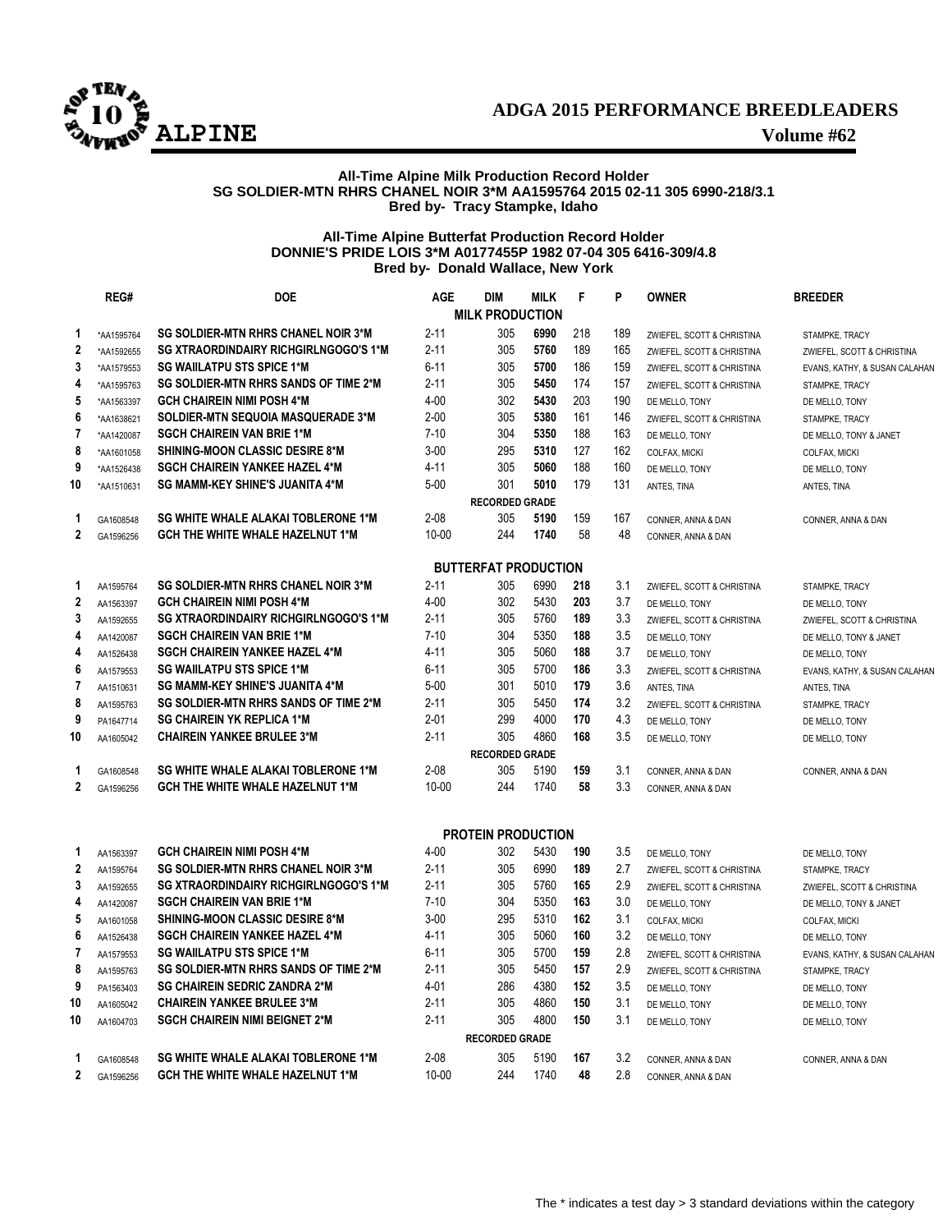

# **ADGA 2015 PERFORMANCE BREEDLEADERS ALPINE Volume #62**

# **All-Time Alpine Milk Production Record Holder SG SOLDIER-MTN RHRS CHANEL NOIR 3\*M AA1595764 2015 02-11 305 6990-218/3.1 Bred by- Tracy Stampke, Idaho**

# **All-Time Alpine Butterfat Production Record Holder DONNIE'S PRIDE LOIS 3\*M A0177455P 1982 07-04 305 6416-309/4.8 Bred by- Donald Wallace, New York**

|                | REG#        | <b>DOE</b>                                   | <b>AGE</b> | <b>DIM</b>                  | <b>MILK</b> | F   | P   | <b>OWNER</b>               | <b>BREEDER</b>                |
|----------------|-------------|----------------------------------------------|------------|-----------------------------|-------------|-----|-----|----------------------------|-------------------------------|
|                |             |                                              |            | <b>MILK PRODUCTION</b>      |             |     |     |                            |                               |
| -1             | *AA1595764  | <b>SG SOLDIER-MTN RHRS CHANEL NOIR 3*M</b>   | $2 - 11$   | 305                         | 6990        | 218 | 189 | ZWIEFEL, SCOTT & CHRISTINA | STAMPKE, TRACY                |
| $\overline{2}$ | *AA1592655  | <b>SG XTRAORDINDAIRY RICHGIRLNGOGO'S 1*M</b> | $2 - 11$   | 305                         | 5760        | 189 | 165 | ZWIEFEL, SCOTT & CHRISTINA | ZWIEFEL, SCOTT & CHRISTINA    |
| 3              | *AA1579553  | <b>SG WAIILATPU STS SPICE 1*M</b>            | $6 - 11$   | 305                         | 5700        | 186 | 159 | ZWIEFEL, SCOTT & CHRISTINA | EVANS, KATHY, & SUSAN CALAHAN |
|                | *AA1595763  | SG SOLDIER-MTN RHRS SANDS OF TIME 2*M        | $2 - 11$   | 305                         | 5450        | 174 | 157 | ZWIEFEL, SCOTT & CHRISTINA | STAMPKE, TRACY                |
| 5              | *AA1563397  | <b>GCH CHAIREIN NIMI POSH 4*M</b>            | $4 - 00$   | 302                         | 5430        | 203 | 190 | DE MELLO, TONY             | DE MELLO, TONY                |
| 6              | *AA1638621  | <b>SOLDIER-MTN SEQUOIA MASQUERADE 3*M</b>    | $2 - 00$   | 305                         | 5380        | 161 | 146 | ZWIEFEL, SCOTT & CHRISTINA | STAMPKE, TRACY                |
| 7              | *AA1420087  | <b>SGCH CHAIREIN VAN BRIE 1*M</b>            | $7-10$     | 304                         | 5350        | 188 | 163 | DE MELLO, TONY             | DE MELLO, TONY & JANET        |
| 8              | *AA1601058  | <b>SHINING-MOON CLASSIC DESIRE 8*M</b>       | $3 - 00$   | 295                         | 5310        | 127 | 162 | COLFAX, MICKI              | COLFAX, MICKI                 |
| 9              | *AA1526438  | <b>SGCH CHAIREIN YANKEE HAZEL 4*M</b>        | $4 - 11$   | 305                         | 5060        | 188 | 160 | DE MELLO, TONY             | DE MELLO, TONY                |
| 10             | *AA1510631  | <b>SG MAMM-KEY SHINE'S JUANITA 4*M</b>       | $5-00$     | 301                         | 5010        | 179 | 131 | ANTES, TINA                | ANTES, TINA                   |
|                |             |                                              |            | <b>RECORDED GRADE</b>       |             |     |     |                            |                               |
| 1.             | GA1608548   | <b>SG WHITE WHALE ALAKAI TOBLERONE 1*M</b>   | $2 - 08$   | 305                         | 5190        | 159 | 167 | CONNER, ANNA & DAN         | CONNER, ANNA & DAN            |
|                | 2 GA1596256 | GCH THE WHITE WHALE HAZELNUT 1*M             | $10 - 00$  | 244                         | 1740        | 58  | 48  | CONNER, ANNA & DAN         |                               |
|                |             |                                              |            |                             |             |     |     |                            |                               |
|                |             |                                              |            | <b>BUTTERFAT PRODUCTION</b> |             |     |     |                            |                               |
| $\mathbf 1$    | AA1595764   | <b>SG SOLDIER-MTN RHRS CHANEL NOIR 3*M</b>   | $2 - 11$   | 305                         | 6990        | 218 | 3.1 | ZWIEFEL, SCOTT & CHRISTINA | STAMPKE, TRACY                |
| $\mathbf{2}$   | AA1563397   | <b>GCH CHAIREIN NIMI POSH 4*M</b>            | $4 - 00$   | 302                         | 5430        | 203 | 3.7 | DE MELLO, TONY             | DE MELLO, TONY                |
| 3              | AA1592655   | <b>SG XTRAORDINDAIRY RICHGIRLNGOGO'S 1*M</b> | $2 - 11$   | 305                         | 5760        | 189 | 3.3 | ZWIEFEL, SCOTT & CHRISTINA | ZWIEFEL, SCOTT & CHRISTINA    |
| 4              | AA1420087   | <b>SGCH CHAIREIN VAN BRIE 1*M</b>            | $7-10$     | 304                         | 5350        | 188 | 3.5 | DE MELLO, TONY             | DE MELLO, TONY & JANET        |
| 4              | AA1526438   | <b>SGCH CHAIREIN YANKEE HAZEL 4*M</b>        | $4 - 11$   | 305                         | 5060        | 188 | 3.7 | DE MELLO, TONY             | DE MELLO, TONY                |
| 6              | AA1579553   | <b>SG WAIILATPU STS SPICE 1*M</b>            | $6 - 11$   | 305                         | 5700        | 186 | 3.3 | ZWIEFEL, SCOTT & CHRISTINA | EVANS, KATHY, & SUSAN CALAHAN |
| $\mathbf{7}$   | AA151063    | <b>SG MAMM-KEY SHINE'S JUANITA 4*M</b>       | $5 - 00$   | 301                         | 5010        | 179 | 3.6 | ANTES, TINA                | ANTES, TINA                   |
| 8              | AA1595763   | SG SOLDIER-MTN RHRS SANDS OF TIME 2*M        | $2 - 11$   | 305                         | 5450        | 174 | 3.2 | ZWIEFEL, SCOTT & CHRISTINA | STAMPKE, TRACY                |
| 9              | PA1647714   | <b>SG CHAIREIN YK REPLICA 1*M</b>            | $2 - 01$   | 299                         | 4000        | 170 | 4.3 | DE MELLO, TONY             | DE MELLO, TONY                |
| 10             | AA1605042   | <b>CHAIREIN YANKEE BRULEE 3*M</b>            | $2 - 11$   | 305                         | 4860        | 168 | 3.5 | DE MELLO, TONY             | DE MELLO, TONY                |
|                |             |                                              |            | <b>RECORDED GRADE</b>       |             |     |     |                            |                               |
| 1              | GA1608548   | <b>SG WHITE WHALE ALAKAI TOBLERONE 1*M</b>   | $2 - 08$   | 305                         | 5190        | 159 | 3.1 | CONNER, ANNA & DAN         | CONNER, ANNA & DAN            |
|                | 2 GA1596256 | <b>GCH THE WHITE WHALE HAZELNUT 1*M</b>      | $10 - 00$  | 244                         | 1740        | 58  | 3.3 | CONNER, ANNA & DAN         |                               |
|                |             |                                              |            |                             |             |     |     |                            |                               |
|                |             |                                              |            |                             |             |     |     |                            |                               |
|                |             |                                              |            | <b>PROTEIN PRODUCTION</b>   |             |     |     |                            |                               |
| 1              | AA1563397   | <b>GCH CHAIREIN NIMI POSH 4*M</b>            | $4 - 00$   | 302                         | 5430        | 190 | 3.5 | DE MELLO, TONY             | DE MELLO, TONY                |
| $\mathbf{2}$   | AA1595764   | <b>SG SOLDIER-MTN RHRS CHANEL NOIR 3*M</b>   | $2 - 11$   | 305                         | 6990        | 189 | 2.7 | ZWIEFEL, SCOTT & CHRISTINA | STAMPKE, TRACY                |
| 3              | AA1592655   | <b>SG XTRAORDINDAIRY RICHGIRLNGOGO'S 1*M</b> | $2 - 11$   | 305                         | 5760        | 165 | 2.9 | ZWIEFEL, SCOTT & CHRISTINA | ZWIEFEL, SCOTT & CHRISTINA    |
| 4              | AA1420087   | <b>SGCH CHAIREIN VAN BRIE 1*M</b>            | $7 - 10$   | 304                         | 5350        | 163 | 3.0 | DE MELLO, TONY             | DE MELLO, TONY & JANET        |
| 5              | AA1601058   | <b>SHINING-MOON CLASSIC DESIRE 8*M</b>       | $3 - 00$   | 295                         | 5310        | 162 | 3.1 | COLFAX, MICKI              | COLFAX, MICKI                 |
| 6              | AA1526438   | <b>SGCH CHAIREIN YANKEE HAZEL 4*M</b>        | $4 - 11$   | 305                         | 5060        | 160 | 3.2 | DE MELLO, TONY             | DE MELLO, TONY                |
| 7              | AA1579553   | <b>SG WAIILATPU STS SPICE 1*M</b>            | $6 - 11$   | 305                         | 5700        | 159 | 2.8 | ZWIEFEL, SCOTT & CHRISTINA | EVANS, KATHY, & SUSAN CALAHAN |
| 8              | AA1595763   | SG SOLDIER-MTN RHRS SANDS OF TIME 2*M        | $2 - 11$   | 305                         | 5450        | 157 | 2.9 | ZWIEFEL, SCOTT & CHRISTINA | STAMPKE, TRACY                |
| 9              | PA1563403   | <b>SG CHAIREIN SEDRIC ZANDRA 2*M</b>         | $4 - 01$   | 286                         | 4380        | 152 | 3.5 | DE MELLO, TONY             | DE MELLO, TONY                |
| 10             | AA1605042   | <b>CHAIREIN YANKEE BRULEE 3*M</b>            | $2 - 11$   | 305                         | 4860        | 150 | 3.1 | DE MELLO, TONY             | DE MELLO, TONY                |
| 10             | AA1604703   | <b>SGCH CHAIREIN NIMI BEIGNET 2*M</b>        | $2 - 11$   | 305                         | 4800        | 150 | 3.1 | DE MELLO, TONY             | DE MELLO, TONY                |
|                |             |                                              |            | <b>RECORDED GRADE</b>       |             |     |     |                            |                               |
|                | GA1608548   | <b>SG WHITE WHALE ALAKAI TOBLERONE 1*M</b>   | $2 - 08$   | 305                         | 5190        | 167 | 3.2 | CONNER, ANNA & DAN         | CONNER, ANNA & DAN            |
|                | 2 GA1596256 | <b>GCH THE WHITE WHALE HAZELNUT 1*M</b>      | $10 - 00$  | 244                         | 1740        | 48  | 2.8 | CONNER, ANNA & DAN         |                               |
|                |             |                                              |            |                             |             |     |     |                            |                               |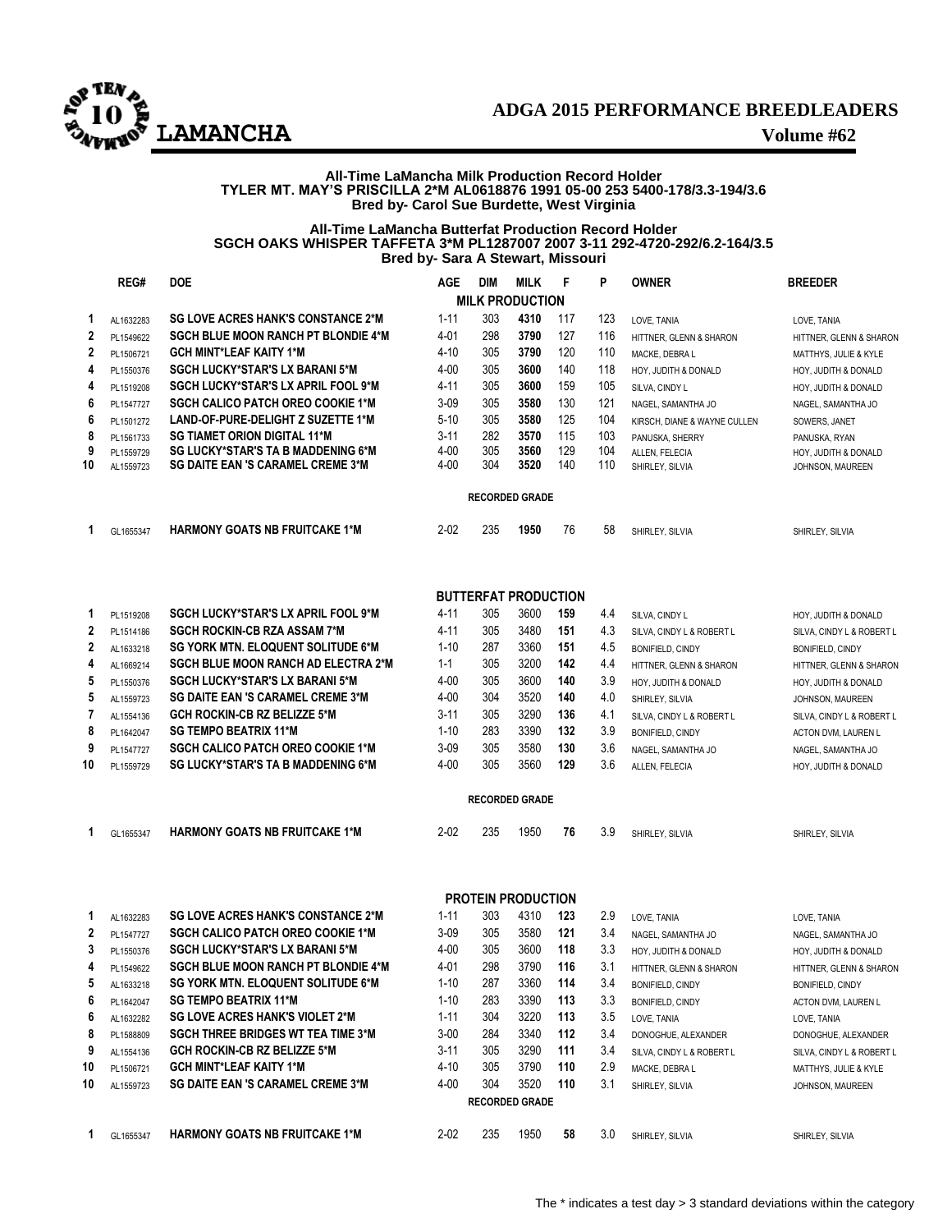

# **ADGA 2015 PERFORMANCE BREEDLEADERS LAMANCHA Volume #62**

## **All-Time LaMancha Milk Production Record Holder TYLER MT. MAY'S PRISCILLA 2\*M AL0618876 1991 05-00 253 5400-178/3.3-194/3.6 Bred by- Carol Sue Burdette, West Virginia**

## **All-Time LaMancha Butterfat Production Record Holder SGCH OAKS WHISPER TAFFETA 3\*M PL1287007 2007 3-11 292-4720-292/6.2-164/3.5 Bred by- Sara A Stewart, Missouri**

|    | REG#      | <b>DOE</b>                                 | <b>AGE</b> | <b>DIM</b> | <b>MILK</b>                 | F   | P   | <b>OWNER</b>                 | <b>BREEDER</b>            |
|----|-----------|--------------------------------------------|------------|------------|-----------------------------|-----|-----|------------------------------|---------------------------|
|    |           |                                            |            |            | <b>MILK PRODUCTION</b>      |     |     |                              |                           |
| 1  | AL1632283 | <b>SG LOVE ACRES HANK'S CONSTANCE 2*M</b>  | $1 - 11$   | 303        | 4310                        | 117 | 123 | LOVE, TANIA                  | LOVE, TANIA               |
| 2  | PL1549622 | <b>SGCH BLUE MOON RANCH PT BLONDIE 4*M</b> | 4-01       | 298        | 3790                        | 127 | 116 | HITTNER, GLENN & SHARON      | HITTNER, GLENN & SHARON   |
| 2  | PL1506721 | <b>GCH MINT*LEAF KAITY 1*M</b>             | $4 - 10$   | 305        | 3790                        | 120 | 110 | MACKE, DEBRA L               | MATTHYS, JULIE & KYLE     |
| 4  | PL1550376 | <b>SGCH LUCKY*STAR'S LX BARANI 5*M</b>     | $4 - 00$   | 305        | 3600                        | 140 | 118 | HOY, JUDITH & DONALD         | HOY, JUDITH & DONALD      |
| 4  | PL1519208 | SGCH LUCKY*STAR'S LX APRIL FOOL 9*M        | $4 - 11$   | 305        | 3600                        | 159 | 105 | SILVA, CINDY L               | HOY, JUDITH & DONALD      |
| 6  | PL1547727 | <b>SGCH CALICO PATCH OREO COOKIE 1*M</b>   | $3 - 09$   | 305        | 3580                        | 130 | 121 | NAGEL, SAMANTHA JO           | NAGEL, SAMANTHA JO        |
| 6  | PL1501272 | LAND-OF-PURE-DELIGHT Z SUZETTE 1*M         | $5 - 10$   | 305        | 3580                        | 125 | 104 | KIRSCH, DIANE & WAYNE CULLEN | SOWERS, JANET             |
| 8  | PL1561733 | <b>SG TIAMET ORION DIGITAL 11*M</b>        | $3 - 11$   | 282        | 3570                        | 115 | 103 | PANUSKA, SHERRY              | PANUSKA, RYAN             |
| 9  | PL1559729 | SG LUCKY*STAR'S TA B MADDENING 6*M         | $4 - 00$   | 305        | 3560                        | 129 | 104 | ALLEN, FELECIA               | HOY, JUDITH & DONALD      |
| 10 | AL1559723 | <b>SG DAITE EAN 'S CARAMEL CREME 3*M</b>   | $4 - 00$   | 304        | 3520                        | 140 | 110 | SHIRLEY, SILVIA              | JOHNSON, MAUREEN          |
|    |           |                                            |            |            | <b>RECORDED GRADE</b>       |     |     |                              |                           |
|    |           |                                            |            |            |                             |     |     |                              |                           |
| 1  | GL1655347 | <b>HARMONY GOATS NB FRUITCAKE 1*M</b>      | $2 - 02$   | 235        | 1950                        | 76  | 58  | SHIRLEY, SILVIA              | SHIRLEY, SILVIA           |
|    |           |                                            |            |            |                             |     |     |                              |                           |
|    |           |                                            |            |            | <b>BUTTERFAT PRODUCTION</b> |     |     |                              |                           |
| 1  | PL1519208 | <b>SGCH LUCKY*STAR'S LX APRIL FOOL 9*M</b> | $4 - 11$   | 305        | 3600                        | 159 | 4.4 | SILVA, CINDY L               | HOY, JUDITH & DONALD      |
| 2  | PL1514186 | <b>SGCH ROCKIN-CB RZA ASSAM 7*M</b>        | $4 - 11$   | 305        | 3480                        | 151 | 4.3 | SILVA, CINDY L & ROBERT L    | SILVA, CINDY L & ROBERT L |
| 2  | AL1633218 | <b>SG YORK MTN. ELOQUENT SOLITUDE 6*M</b>  | $1 - 10$   | 287        | 3360                        | 151 | 4.5 | <b>BONIFIELD, CINDY</b>      | BONIFIELD, CINDY          |
| 4  | AL1669214 | <b>SGCH BLUE MOON RANCH AD ELECTRA 2*M</b> | $1 - 1$    | 305        | 3200                        | 142 | 4.4 | HITTNER, GLENN & SHARON      | HITTNER, GLENN & SHARON   |
| 5  | PL1550376 | <b>SGCH LUCKY*STAR'S LX BARANI 5*M</b>     | $4 - 00$   | 305        | 3600                        | 140 | 3.9 | HOY, JUDITH & DONALD         | HOY, JUDITH & DONALD      |
| 5  | AL1559723 | <b>SG DAITE EAN 'S CARAMEL CREME 3*M</b>   | $4 - 00$   | 304        | 3520                        | 140 | 4.0 | SHIRLEY, SILVIA              | JOHNSON, MAUREEN          |
| 7  | AL1554136 | GCH ROCKIN-CB RZ BELIZZE 5*M               | $3 - 11$   | 305        | 3290                        | 136 | 4.1 | SILVA, CINDY L & ROBERT L    | SILVA, CINDY L & ROBERT L |
| 8  | PL1642047 | <b>SG TEMPO BEATRIX 11*M</b>               | $1 - 10$   | 283        | 3390                        | 132 | 3.9 | BONIFIELD, CINDY             | ACTON DVM, LAUREN L       |
| 9  | PL1547727 | <b>SGCH CALICO PATCH OREO COOKIE 1*M</b>   | $3 - 09$   | 305        | 3580                        | 130 | 3.6 | NAGEL, SAMANTHA JO           | NAGEL, SAMANTHA JO        |
| 10 | PL1559729 | SG LUCKY*STAR'S TA B MADDENING 6*M         | $4 - 00$   | 305        | 3560                        | 129 | 3.6 | ALLEN, FELECIA               | HOY, JUDITH & DONALD      |
|    |           |                                            |            |            |                             |     |     |                              |                           |
|    |           |                                            |            |            | <b>RECORDED GRADE</b>       |     |     |                              |                           |
| 1  | GL1655347 | <b>HARMONY GOATS NB FRUITCAKE 1*M</b>      | $2 - 02$   | 235        | 1950                        | 76  | 3.9 | SHIRLEY, SILVIA              | SHIRLEY, SILVIA           |
|    |           |                                            |            |            |                             |     |     |                              |                           |
|    |           |                                            |            |            | <b>PROTEIN PRODUCTION</b>   |     |     |                              |                           |
| 1  | AL1632283 | <b>SG LOVE ACRES HANK'S CONSTANCE 2*M</b>  | $1 - 11$   | 303        | 4310                        | 123 | 2.9 | LOVE, TANIA                  | LOVE, TANIA               |
| 2  | PL1547727 | <b>SGCH CALICO PATCH OREO COOKIE 1*M</b>   | $3-09$     | 305        | 3580                        | 121 | 3.4 | NAGEL, SAMANTHA JO           | NAGEL, SAMANTHA JO        |
| 3  | PL1550376 | <b>SGCH LUCKY*STAR'S LX BARANI 5*M</b>     | $4 - 00$   | 305        | 3600                        | 118 | 3.3 | HOY, JUDITH & DONALD         | HOY, JUDITH & DONALD      |
| 4  | PL1549622 | <b>SGCH BLUE MOON RANCH PT BLONDIE 4*M</b> | $4 - 01$   | 298        | 3790                        | 116 | 3.1 | HITTNER, GLENN & SHARON      | HITTNER, GLENN & SHARON   |
| 5  | AL1633218 | <b>SG YORK MTN. ELOQUENT SOLITUDE 6*M</b>  | $1-10$     | 287        | 3360                        | 114 | 3.4 | BONIFIELD, CINDY             | BONIFIELD, CINDY          |
| 6  | PL1642047 | <b>SG TEMPO BEATRIX 11*M</b>               | $1 - 10$   | 283        | 3390                        | 113 | 3.3 | BONIFIELD, CINDY             | ACTON DVM, LAUREN L       |
| 6  | AL1632282 | <b>SG LOVE ACRES HANK'S VIOLET 2*M</b>     | $1 - 11$   | 304        | 3220                        | 113 | 3.5 | LOVE, TANIA                  | LOVE, TANIA               |
| 8  | PL1588809 | <b>SGCH THREE BRIDGES WT TEA TIME 3*M</b>  | $3 - 00$   | 284        | 3340                        | 112 | 3.4 | DONOGHUE, ALEXANDER          | DONOGHUE, ALEXANDER       |
| 9  | AL1554136 | <b>GCH ROCKIN-CB RZ BELIZZE 5*M</b>        | $3 - 11$   | 305        | 3290                        | 111 | 3.4 | SILVA, CINDY L & ROBERT L    | SILVA, CINDY L & ROBERT L |
| 10 | PL1506721 | <b>GCH MINT*LEAF KAITY 1*M</b>             | 4-10       | 305        | 3790                        | 110 | 2.9 | MACKE, DEBRA L               | MATTHYS, JULIE & KYLE     |
| 10 | AL1559723 | <b>SG DAITE EAN 'S CARAMEL CREME 3*M</b>   | $4 - 00$   | 304        | 3520                        | 110 | 3.1 | SHIRLEY, SILVIA              | JOHNSON, MAUREEN          |
|    |           |                                            |            |            | <b>RECORDED GRADE</b>       |     |     |                              |                           |
| 1  | GL1655347 | <b>HARMONY GOATS NB FRUITCAKE 1*M</b>      | $2 - 02$   | 235        | 1950                        | 58  | 3.0 | SHIRLEY, SILVIA              |                           |
|    |           |                                            |            |            |                             |     |     |                              | SHIRLEY, SILVIA           |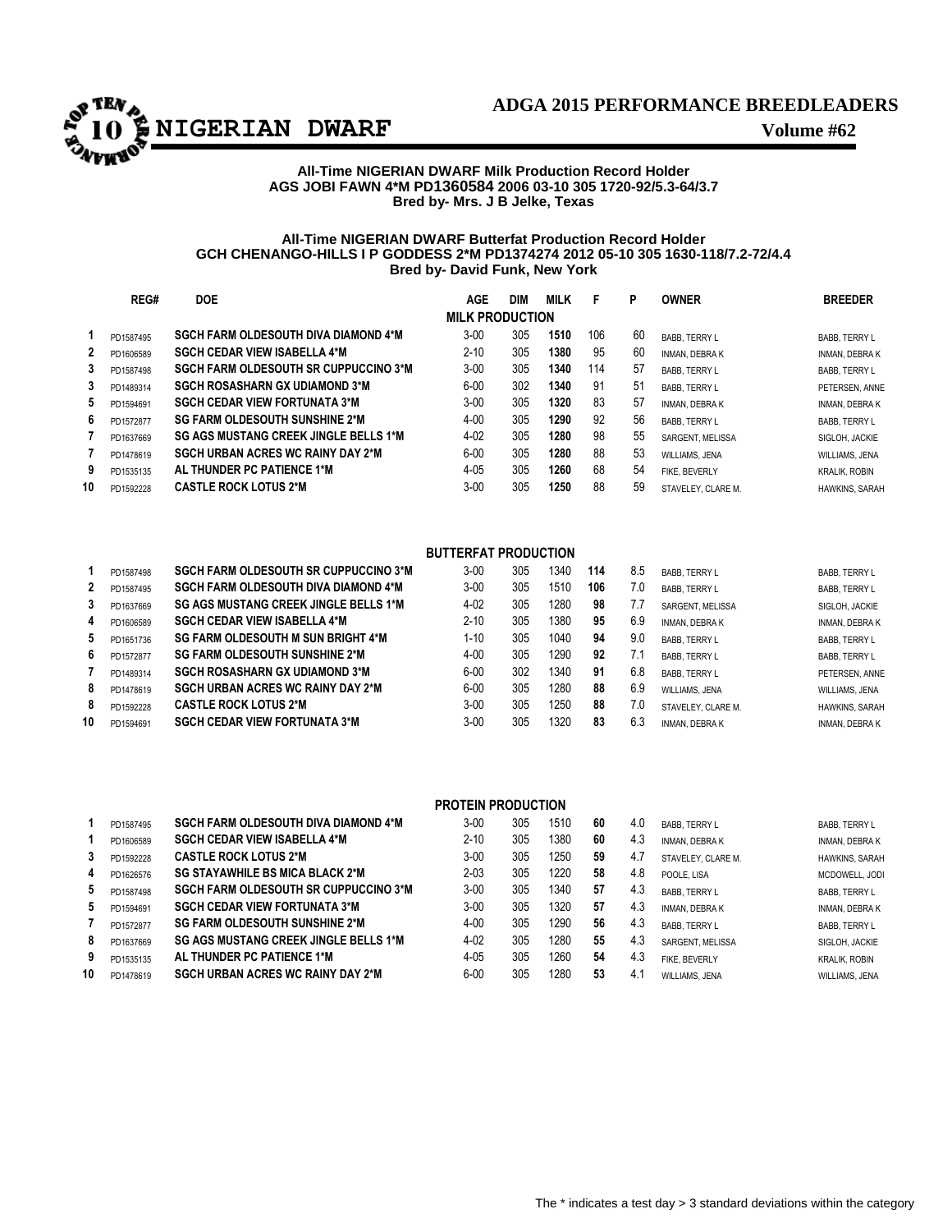

# **ADGA 2015 PERFORMANCE BREEDLEADERS**

# **All-Time NIGERIAN DWARF Milk Production Record Holder AGS JOBI FAWN 4\*M PD1360584 2006 03-10 305 1720-92/5.3-64/3.7 Bred by- Mrs. J B Jelke, Texas**

# **All-Time NIGERIAN DWARF Butterfat Production Record Holder GCH CHENANGO-HILLS I P GODDESS 2\*M PD1374274 2012 05-10 305 1630-118/7.2-72/4.4 Bred by- David Funk, New York**

|              | REG#      | <b>DOE</b>                                   | AGE                    | DIM | <b>MILK</b> | F   | P  | <b>OWNER</b>          | <b>BREEDER</b>        |
|--------------|-----------|----------------------------------------------|------------------------|-----|-------------|-----|----|-----------------------|-----------------------|
|              |           |                                              | <b>MILK PRODUCTION</b> |     |             |     |    |                       |                       |
|              | PD1587495 | <b>SGCH FARM OLDESOUTH DIVA DIAMOND 4*M</b>  | $3 - 00$               | 305 | 1510        | 106 | 60 | <b>BABB, TERRY L</b>  | <b>BABB, TERRY L</b>  |
| $\mathbf{2}$ | PD1606589 | <b>SGCH CEDAR VIEW ISABELLA 4*M</b>          | $2 - 10$               | 305 | 1380        | 95  | 60 | <b>INMAN, DEBRA K</b> | <b>INMAN, DEBRAK</b>  |
| 3            | PD1587498 | <b>SGCH FARM OLDESOUTH SR CUPPUCCINO 3*M</b> | $3 - 00$               | 305 | 1340        | 114 | 57 | <b>BABB. TERRY L</b>  | <b>BABB, TERRY L</b>  |
| 3            | PD1489314 | <b>SGCH ROSASHARN GX UDIAMOND 3*M</b>        | $6 - 00$               | 302 | 1340        | 91  | 51 | <b>BABB. TERRY L</b>  | PETERSEN, ANNE        |
| 5            | PD1594691 | <b>SGCH CEDAR VIEW FORTUNATA 3*M</b>         | $3 - 00$               | 305 | 1320        | 83  | 57 | <b>INMAN, DEBRA K</b> | <b>INMAN, DEBRAK</b>  |
| 6            | PD1572877 | <b>SG FARM OLDESOUTH SUNSHINE 2*M</b>        | $4 - 00$               | 305 | 1290        | 92  | 56 | BABB. TERRY L         | <b>BABB, TERRY L</b>  |
|              | PD1637669 | <b>SG AGS MUSTANG CREEK JINGLE BELLS 1*M</b> | $4 - 02$               | 305 | 1280        | 98  | 55 | SARGENT, MELISSA      | SIGLOH, JACKIE        |
|              | PD1478619 | <b>SGCH URBAN ACRES WC RAINY DAY 2*M</b>     | $6 - 00$               | 305 | 1280        | 88  | 53 | WILLIAMS, JENA        | <b>WILLIAMS, JENA</b> |
| 9            | PD1535135 | AL THUNDER PC PATIENCE 1*M                   | $4 - 05$               | 305 | 1260        | 68  | 54 | FIKE, BEVERLY         | <b>KRALIK, ROBIN</b>  |
| 10           | PD1592228 | <b>CASTLE ROCK LOTUS 2*M</b>                 | $3 - 00$               | 305 | 1250        | 88  | 59 | STAVELEY. CLARE M.    | <b>HAWKINS, SARAH</b> |
|              |           |                                              |                        |     |             |     |    |                       |                       |

# **BUTTERFAT PRODUCTION**

|                | PD1587498 | <b>SGCH FARM OLDESOUTH SR CUPPUCCINO 3*M</b> | $3 - 00$ | 305 | 1340 | 114 | 8.5 | <b>BABB. TERRY L</b>  | <b>BABB. TERRY L</b>  |
|----------------|-----------|----------------------------------------------|----------|-----|------|-----|-----|-----------------------|-----------------------|
| $\overline{2}$ | PD1587495 | <b>SGCH FARM OLDESOUTH DIVA DIAMOND 4*M</b>  | $3 - 00$ | 305 | 1510 | 106 | 7.0 | <b>BABB. TERRY L</b>  | BABB, TERRY L         |
| 3              | PD1637669 | <b>SG AGS MUSTANG CREEK JINGLE BELLS 1*M</b> | $4 - 02$ | 305 | 1280 | 98  | 7.7 | SARGENT, MELISSA      | SIGLOH, JACKIE        |
| 4              | PD1606589 | <b>SGCH CEDAR VIEW ISABELLA 4*M</b>          | $2 - 10$ | 305 | 1380 | 95  | 6.9 | <b>INMAN, DEBRAK</b>  | <b>INMAN, DEBRAK</b>  |
| 5              | PD1651736 | <b>SG FARM OLDESOUTH M SUN BRIGHT 4*M</b>    | 1-10     | 305 | 1040 | 94  | 9.0 | <b>BABB. TERRY L</b>  | <b>BABB. TERRY L</b>  |
| 6              | PD1572877 | <b>SG FARM OLDESOUTH SUNSHINE 2*M</b>        | $4 - 00$ | 305 | 1290 | 92  | 7.  | <b>BABB. TERRY L</b>  | <b>BABB. TERRY L</b>  |
|                | PD1489314 | <b>SGCH ROSASHARN GX UDIAMOND 3*M</b>        | $6 - 00$ | 302 | 1340 | 91  | 6.8 | <b>BABB. TERRY L</b>  | PETERSEN, ANNE        |
| 8              | PD1478619 | <b>SGCH URBAN ACRES WC RAINY DAY 2*M</b>     | $6 - 00$ | 305 | 1280 | 88  | 6.9 | WILLIAMS, JENA        | WILLIAMS, JENA        |
| 8              | PD1592228 | <b>CASTLE ROCK LOTUS 2*M</b>                 | $3 - 00$ | 305 | 1250 | 88  | 7.0 | STAVELEY. CLARE M.    | <b>HAWKINS, SARAH</b> |
| 10             | PD1594691 | <b>SGCH CEDAR VIEW FORTUNATA 3*M</b>         | $3 - 00$ | 305 | 1320 | 83  | 6.3 | <b>INMAN, DEBRA K</b> | <b>INMAN, DEBRAK</b>  |

|    |           |                                              | <b>PROTEIN PRODUCTION</b> |     |      |    |     |                       |                       |
|----|-----------|----------------------------------------------|---------------------------|-----|------|----|-----|-----------------------|-----------------------|
|    | PD1587495 | <b>SGCH FARM OLDESOUTH DIVA DIAMOND 4*M</b>  | $3 - 00$                  | 305 | 1510 | 60 | 4.0 | <b>BABB. TERRY L</b>  | <b>BABB. TERRY L</b>  |
|    | PD1606589 | <b>SGCH CEDAR VIEW ISABELLA 4*M</b>          | $2 - 10$                  | 305 | 1380 | 60 | 4.3 | INMAN, DEBRA K        | <b>INMAN, DEBRAK</b>  |
| 3  | PD1592228 | <b>CASTLE ROCK LOTUS 2*M</b>                 | $3 - 00$                  | 305 | 1250 | 59 | 4.7 | STAVELEY. CLARE M.    | <b>HAWKINS, SARAH</b> |
| 4  | PD1626576 | <b>SG STAYAWHILE BS MICA BLACK 2*M</b>       | $2 - 03$                  | 305 | 1220 | 58 | 4.8 | POOLE. LISA           | MCDOWELL, JODI        |
| 5  | PD1587498 | <b>SGCH FARM OLDESOUTH SR CUPPUCCINO 3*M</b> | $3 - 00$                  | 305 | 1340 | 57 | 4.3 | <b>BABB, TERRY L</b>  | <b>BABB. TERRY L</b>  |
| 5  | PD1594691 | <b>SGCH CEDAR VIEW FORTUNATA 3*M</b>         | $3 - 00$                  | 305 | 1320 | 57 | 4.3 | INMAN, DEBRA K        | <b>INMAN, DEBRAK</b>  |
|    | PD1572877 | <b>SG FARM OLDESOUTH SUNSHINE 2*M</b>        | $4 - 00$                  | 305 | 1290 | 56 | 4.3 | <b>BABB. TERRY L</b>  | <b>BABB. TERRY L</b>  |
| 8  | PD1637669 | <b>SG AGS MUSTANG CREEK JINGLE BELLS 1*M</b> | $4 - 02$                  | 305 | 1280 | 55 | 4.3 | SARGENT, MELISSA      | SIGLOH, JACKIE        |
| 9  | PD1535135 | AL THUNDER PC PATIENCE 1*M                   | 4-05                      | 305 | 1260 | 54 | 4.3 | FIKE, BEVERLY         | <b>KRALIK, ROBIN</b>  |
| 10 | PD1478619 | <b>SGCH URBAN ACRES WC RAINY DAY 2*M</b>     | $6 - 00$                  | 305 | 1280 | 53 | 4.1 | <b>WILLIAMS, JENA</b> | <b>WILLIAMS, JENA</b> |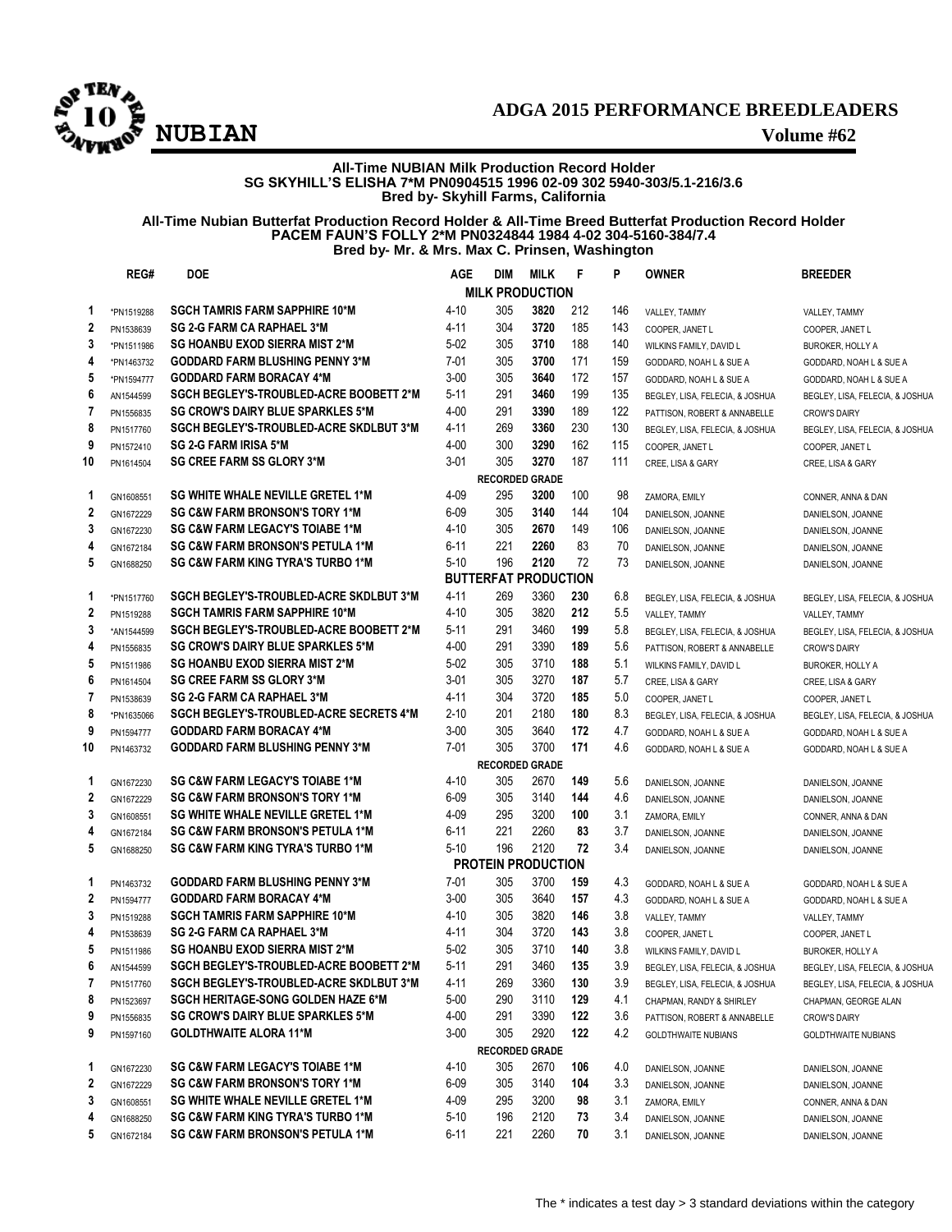

# **ADGA 2015 PERFORMANCE BREEDLEADERS**

## **All-Time NUBIAN Milk Production Record Holder SG SKYHILL'S ELISHA 7\*M PN0904515 1996 02-09 302 5940-303/5.1-216/3.6 Bred by- Skyhill Farms, California**

**All-Time Nubian Butterfat Production Record Holder & All-Time Breed Butterfat Production Record Holder PACEM FAUN'S FOLLY 2\*M PN0324844 1984 4-02 304-5160-384/7.4 Bred by- Mr. & Mrs. Max C. Prinsen, Washington**

|                         | REG#       | <b>DOE</b>                                     | AGE      | DIM                         | <b>MILK</b> | F   | P   | <b>OWNER</b>                    | <b>BREEDER</b>                  |
|-------------------------|------------|------------------------------------------------|----------|-----------------------------|-------------|-----|-----|---------------------------------|---------------------------------|
|                         |            |                                                |          | <b>MILK PRODUCTION</b>      |             |     |     |                                 |                                 |
| 1                       | *PN1519288 | <b>SGCH TAMRIS FARM SAPPHIRE 10*M</b>          | 4-10     | 305                         | 3820        | 212 | 146 | VALLEY, TAMMY                   | VALLEY, TAMMY                   |
| 2                       | PN1538639  | <b>SG 2-G FARM CA RAPHAEL 3*M</b>              | $4 - 11$ | 304                         | 3720        | 185 | 143 | COOPER, JANET L                 | COOPER, JANET L                 |
| 3                       | *PN1511986 | <b>SG HOANBU EXOD SIERRA MIST 2*M</b>          | $5-02$   | 305                         | 3710        | 188 | 140 | WILKINS FAMILY, DAVID L         | <b>BUROKER, HOLLY A</b>         |
| 4                       | *PN1463732 | <b>GODDARD FARM BLUSHING PENNY 3*M</b>         | $7 - 01$ | 305                         | 3700        | 171 | 159 | GODDARD, NOAH L & SUE A         | GODDARD, NOAH L & SUE A         |
| 5                       | *PN1594777 | <b>GODDARD FARM BORACAY 4*M</b>                | $3 - 00$ | 305                         | 3640        | 172 | 157 | GODDARD, NOAH L & SUE A         | GODDARD, NOAH L & SUE A         |
| 6                       | AN1544599  | <b>SGCH BEGLEY'S TROUBLED ACRE BOOBETT 2*M</b> | 5-11     | 291                         | 3460        | 199 | 135 | BEGLEY, LISA, FELECIA, & JOSHUA | BEGLEY, LISA, FELECIA, & JOSHUA |
| 7                       | PN1556835  | <b>SG CROW'S DAIRY BLUE SPARKLES 5*M</b>       | $4 - 00$ | 291                         | 3390        | 189 | 122 | PATTISON, ROBERT & ANNABELLE    | <b>CROW'S DAIRY</b>             |
| 8                       | PN1517760  | <b>SGCH BEGLEY'S-TROUBLED-ACRE SKDLBUT 3*M</b> | $4 - 11$ | 269                         | 3360        | 230 | 130 | BEGLEY, LISA, FELECIA, & JOSHUA | BEGLEY, LISA, FELECIA, & JOSHUA |
| 9                       | PN1572410  | <b>SG 2-G FARM IRISA 5*M</b>                   | $4 - 00$ | 300                         | 3290        | 162 | 115 | COOPER, JANET L                 | COOPER, JANET L                 |
| 10                      | PN1614504  | <b>SG CREE FARM SS GLORY 3*M</b>               | 3-01     | 305                         | 3270        | 187 | 111 | CREE, LISA & GARY               | CREE, LISA & GARY               |
|                         |            |                                                |          | <b>RECORDED GRADE</b>       |             |     |     |                                 |                                 |
| 1                       | GN1608551  | <b>SG WHITE WHALE NEVILLE GRETEL 1*M</b>       | 4-09     | 295                         | 3200        | 100 | 98  | ZAMORA, EMILY                   | CONNER, ANNA & DAN              |
| $\mathbf{2}$            | GN1672229  | <b>SG C&amp;W FARM BRONSON'S TORY 1*M</b>      | 6-09     | 305                         | 3140        | 144 | 104 | DANIELSON, JOANNE               | DANIELSON, JOANNE               |
| 3                       | GN1672230  | <b>SG C&amp;W FARM LEGACY'S TOIABE 1*M</b>     | 4-10     | 305                         | 2670        | 149 | 106 | DANIELSON, JOANNE               | DANIELSON, JOANNE               |
| 4                       | GN1672184  | <b>SG C&amp;W FARM BRONSON'S PETULA 1*M</b>    | $6 - 11$ | 221                         | 2260        | 83  | 70  | DANIELSON, JOANNE               | DANIELSON, JOANNE               |
| 5                       | GN1688250  | SG C&W FARM KING TYRA'S TURBO 1*M              | $5 - 10$ | 196                         | 2120        | 72  | 73  | DANIELSON, JOANNE               | DANIELSON, JOANNE               |
|                         |            |                                                |          | <b>BUTTERFAT PRODUCTION</b> |             |     |     |                                 |                                 |
| 1                       | *PN1517760 | <b>SGCH BEGLEY'S-TROUBLED-ACRE SKDLBUT 3*M</b> | $4 - 11$ | 269                         | 3360        | 230 | 6.8 | BEGLEY, LISA, FELECIA, & JOSHUA | BEGLEY, LISA, FELECIA, & JOSHUA |
| $\overline{2}$          | PN1519288  | <b>SGCH TAMRIS FARM SAPPHIRE 10*M</b>          | $4 - 10$ | 305                         | 3820        | 212 | 5.5 | VALLEY, TAMMY                   | VALLEY, TAMMY                   |
| 3                       | *AN1544599 | SGCH BEGLEY'S TROUBLED ACRE BOOBETT 2*M        | $5 - 11$ | 291                         | 3460        | 199 | 5.8 | BEGLEY, LISA, FELECIA, & JOSHUA | BEGLEY, LISA, FELECIA, & JOSHUA |
| 4                       | PN1556835  | <b>SG CROW'S DAIRY BLUE SPARKLES 5*M</b>       | $4 - 00$ | 291                         | 3390        | 189 | 5.6 | PATTISON, ROBERT & ANNABELLE    | <b>CROW'S DAIRY</b>             |
| 5                       | PN1511986  | SG HOANBU EXOD SIERRA MIST 2*M                 | $5-02$   | 305                         | 3710        | 188 | 5.1 | WILKINS FAMILY, DAVID L         | <b>BUROKER, HOLLY A</b>         |
| 6                       | PN1614504  | <b>SG CREE FARM SS GLORY 3*M</b>               | 3-01     | 305                         | 3270        | 187 | 5.7 | CREE, LISA & GARY               | CREE, LISA & GARY               |
| 7                       | PN1538639  | <b>SG 2-G FARM CA RAPHAEL 3*M</b>              | $4 - 11$ | 304                         | 3720        | 185 | 5.0 | COOPER. JANET L                 | COOPER, JANET L                 |
| 8                       | *PN1635066 | SGCH BEGLEY'S-TROUBLED-ACRE SECRETS 4*M        | $2 - 10$ | 201                         | 2180        | 180 | 8.3 | BEGLEY, LISA, FELECIA, & JOSHUA | BEGLEY, LISA, FELECIA, & JOSHUA |
| 9                       | PN1594777  | <b>GODDARD FARM BORACAY 4*M</b>                | $3 - 00$ | 305                         | 3640        | 172 | 4.7 | GODDARD, NOAH L & SUE A         | GODDARD, NOAH L & SUE A         |
| 10                      | PN1463732  | <b>GODDARD FARM BLUSHING PENNY 3*M</b>         | $7-01$   | 305                         | 3700        | 171 | 4.6 | GODDARD, NOAH L & SUE A         | GODDARD, NOAH L & SUE A         |
|                         |            |                                                |          | <b>RECORDED GRADE</b>       |             |     |     |                                 |                                 |
| 1                       | GN1672230  | <b>SG C&amp;W FARM LEGACY'S TOIABE 1*M</b>     | $4 - 10$ | 305                         | 2670        | 149 | 5.6 | DANIELSON, JOANNE               | DANIELSON, JOANNE               |
| $\overline{2}$          | GN1672229  | <b>SG C&amp;W FARM BRONSON'S TORY 1*M</b>      | $6 - 09$ | 305                         | 3140        | 144 | 4.6 | DANIELSON, JOANNE               | DANIELSON, JOANNE               |
| 3                       | GN1608551  | <b>SG WHITE WHALE NEVILLE GRETEL 1*M</b>       | 4-09     | 295                         | 3200        | 100 | 3.1 | ZAMORA, EMILY                   | CONNER, ANNA & DAN              |
| 4                       | GN1672184  | <b>SG C&amp;W FARM BRONSON'S PETULA 1*M</b>    | 6-11     | 221                         | 2260        | 83  | 3.7 | DANIELSON, JOANNE               | DANIELSON, JOANNE               |
| 5                       | GN1688250  | SG C&W FARM KING TYRA'S TURBO 1*M              | $5 - 10$ | 196                         | 2120        | 72  | 3.4 | DANIELSON, JOANNE               | DANIELSON, JOANNE               |
|                         |            |                                                |          | <b>PROTEIN PRODUCTION</b>   |             |     |     |                                 |                                 |
| 1                       | PN1463732  | <b>GODDARD FARM BLUSHING PENNY 3*M</b>         | $7 - 01$ | 305                         | 3700        | 159 | 4.3 | GODDARD, NOAH L & SUE A         | GODDARD, NOAH L & SUE A         |
| $\overline{\mathbf{2}}$ | PN1594777  | <b>GODDARD FARM BORACAY 4*M</b>                | $3-00$   | 305                         | 3640        | 157 | 4.3 | GODDARD, NOAH L & SUE A         | GODDARD, NOAH L & SUE A         |
| 3                       | PN1519288  | <b>SGCH TAMRIS FARM SAPPHIRE 10*M</b>          | 4-10     | 305                         | 3820        | 146 | 3.8 | VALLEY, TAMMY                   | VALLEY, TAMMY                   |
| 4                       | PN1538639  | <b>SG 2-G FARM CA RAPHAEL 3*M</b>              | 4-11     | 304                         | 3720        | 143 | 3.8 | COOPER, JANET L                 | COOPER, JANET L                 |
| 5                       | PN1511986  | <b>SG HOANBU EXOD SIERRA MIST 2*M</b>          | $5-02$   | 305                         | 3710        | 140 | 3.8 | WILKINS FAMILY, DAVID L         | <b>BUROKER, HOLLY A</b>         |
| 6                       | AN1544599  | SGCH BEGLEY'S-TROUBLED-ACRE BOOBETT 2*M        | $5 - 11$ | 291                         | 3460        | 135 | 3.9 | BEGLEY, LISA, FELECIA, & JOSHUA | BEGLEY, LISA, FELECIA, & JOSHUA |
| 7                       | PN1517760  | <b>SGCH BEGLEY'S-TROUBLED-ACRE SKDLBUT 3*M</b> | 4-11     | 269                         | 3360        | 130 | 3.9 | BEGLEY, LISA, FELECIA, & JOSHUA | BEGLEY, LISA, FELECIA, & JOSHUA |
| 8                       | PN1523697  | <b>SGCH HERITAGE-SONG GOLDEN HAZE 6*M</b>      | 5-00     | 290                         | 3110        | 129 | 4.1 | CHAPMAN, RANDY & SHIRLEY        | CHAPMAN, GEORGE ALAN            |
| 9                       | PN1556835  | <b>SG CROW'S DAIRY BLUE SPARKLES 5*M</b>       | 4-00     | 291                         | 3390        | 122 | 3.6 | PATTISON, ROBERT & ANNABELLE    | <b>CROW'S DAIRY</b>             |
| 9                       | PN1597160  | <b>GOLDTHWAITE ALORA 11*M</b>                  | $3-00$   | 305                         | 2920        | 122 | 4.2 | <b>GOLDTHWAITE NUBIANS</b>      | <b>GOLDTHWAITE NUBIANS</b>      |
|                         |            |                                                |          | <b>RECORDED GRADE</b>       |             |     |     |                                 |                                 |
| 1                       | GN1672230  | <b>SG C&amp;W FARM LEGACY'S TOIABE 1*M</b>     | $4 - 10$ | 305                         | 2670        | 106 | 4.0 | DANIELSON, JOANNE               | DANIELSON, JOANNE               |
| 2                       | GN1672229  | <b>SG C&amp;W FARM BRONSON'S TORY 1*M</b>      | 6-09     | 305                         | 3140        | 104 | 3.3 | DANIELSON, JOANNE               | DANIELSON, JOANNE               |
| 3                       | GN1608551  | <b>SG WHITE WHALE NEVILLE GRETEL 1*M</b>       | 4-09     | 295                         | 3200        | 98  | 3.1 | ZAMORA, EMILY                   | CONNER, ANNA & DAN              |
| 4                       | GN1688250  | <b>SG C&amp;W FARM KING TYRA'S TURBO 1*M</b>   | 5-10     | 196                         | 2120        | 73  | 3.4 | DANIELSON, JOANNE               | DANIELSON, JOANNE               |
| 5                       | GN1672184  | <b>SG C&amp;W FARM BRONSON'S PETULA 1*M</b>    | 6-11     | 221                         | 2260        | 70  | 3.1 | DANIELSON, JOANNE               | DANIELSON, JOANNE               |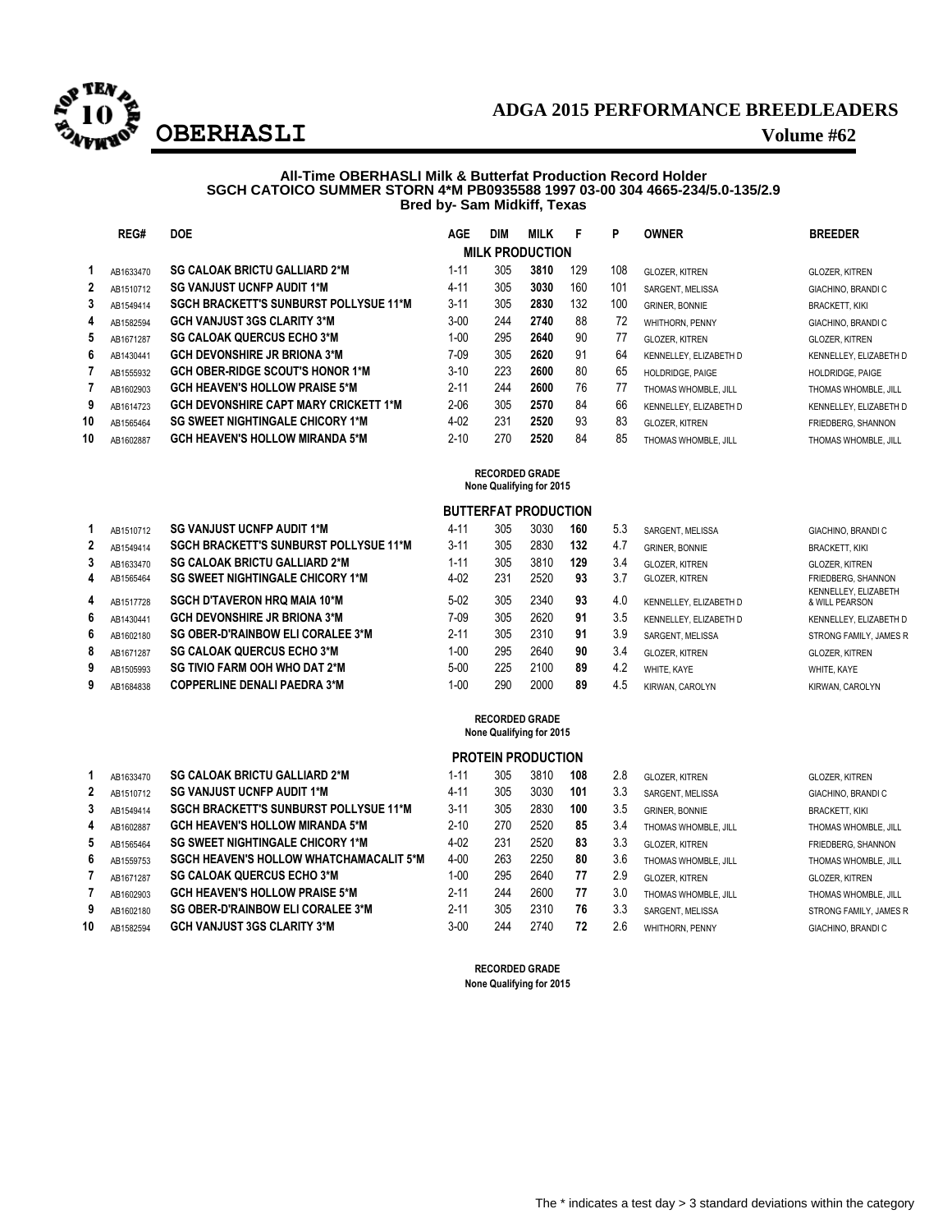

# **ADGA 2015 PERFORMANCE BREEDLEADERS OBERHASLI Volume #62**

## **All-Time OBERHASLI Milk & Butterfat Production Record Holder SGCH CATOICO SUMMER STORN 4\*M PB0935588 1997 03-00 304 4665-234/5.0-135/2.9 Bred by- Sam Midkiff, Texas**

|    | REG#      | <b>DOE</b>                                    | <b>AGE</b> | <b>DIM</b> | <b>MILK</b>            | F   | P   | <b>OWNER</b>            | <b>BREEDER</b>         |
|----|-----------|-----------------------------------------------|------------|------------|------------------------|-----|-----|-------------------------|------------------------|
|    |           |                                               |            |            | <b>MILK PRODUCTION</b> |     |     |                         |                        |
|    | AB1633470 | <b>SG CALOAK BRICTU GALLIARD 2*M</b>          | $1 - 11$   | 305        | 3810                   | 129 | 108 | <b>GLOZER, KITREN</b>   | <b>GLOZER, KITREN</b>  |
| 2  | AB1510712 | <b>SG VANJUST UCNFP AUDIT 1*M</b>             | $4 - 11$   | 305        | 3030                   | 160 | 101 | SARGENT, MELISSA        | GIACHINO, BRANDI C     |
| 3  | AB1549414 | <b>SGCH BRACKETT'S SUNBURST POLLYSUE 11*M</b> | $3 - 11$   | 305        | 2830                   | 132 | 100 | <b>GRINER, BONNIE</b>   | <b>BRACKETT, KIKI</b>  |
| 4  | AB1582594 | <b>GCH VANJUST 3GS CLARITY 3*M</b>            | $3-00$     | 244        | 2740                   | 88  | 72  | WHITHORN, PENNY         | GIACHINO, BRANDI C     |
| 5  | AB1671287 | <b>SG CALOAK QUERCUS ECHO 3*M</b>             | $1 - 00$   | 295        | 2640                   | 90  | 77  | <b>GLOZER, KITREN</b>   | <b>GLOZER, KITREN</b>  |
| 6  | AB1430441 | <b>GCH DEVONSHIRE JR BRIONA 3*M</b>           | 7-09       | 305        | 2620                   | 91  | 64  | KENNELLEY, ELIZABETH D  | KENNELLEY, ELIZABETH D |
|    | AB1555932 | <b>GCH OBER-RIDGE SCOUT'S HONOR 1*M</b>       | $3-10$     | 223        | 2600                   | 80  | 65  | <b>HOLDRIDGE, PAIGE</b> | HOLDRIDGE, PAIGE       |
|    | AB1602903 | <b>GCH HEAVEN'S HOLLOW PRAISE 5*M</b>         | $2 - 11$   | 244        | 2600                   | 76  | 77  | THOMAS WHOMBLE, JILL    | THOMAS WHOMBLE, JILL   |
| 9  | AB1614723 | <b>GCH DEVONSHIRE CAPT MARY CRICKETT 1*M</b>  | $2 - 06$   | 305        | 2570                   | 84  | 66  | KENNELLEY, ELIZABETH D  | KENNELLEY, ELIZABETH D |
| 10 | AB1565464 | <b>SG SWEET NIGHTINGALE CHICORY 1*M</b>       | $4 - 02$   | 231        | 2520                   | 93  | 83  | <b>GLOZER, KITREN</b>   | FRIEDBERG, SHANNON     |
| 10 | AB1602887 | <b>GCH HEAVEN'S HOLLOW MIRANDA 5*M</b>        | $2 - 10$   | 270        | 2520                   | 84  | 85  | THOMAS WHOMBLE, JILL    | THOMAS WHOMBLE, JILL   |

| <b>RECORDED GRADE</b>    |
|--------------------------|
| None Qualifying for 2015 |

# **BUTTERFAT PRODUCTION**

|   | AB1510712 | <b>SG VANJUST UCNFP AUDIT 1*M</b>             | $4 - 11$ | 305 | 3030 | 160 | 5.3 | SARGENT, MELISSA       | GIACHINO, BRANDI C                     |
|---|-----------|-----------------------------------------------|----------|-----|------|-----|-----|------------------------|----------------------------------------|
| 2 | AB1549414 | <b>SGCH BRACKETT'S SUNBURST POLLYSUE 11*M</b> | $3 - 11$ | 305 | 2830 | 132 | 4.7 | <b>GRINER, BONNIE</b>  | <b>BRACKETT, KIKI</b>                  |
| 3 | AB1633470 | <b>SG CALOAK BRICTU GALLIARD 2*M</b>          | 1-11     | 305 | 3810 | 129 | 3.4 | GLOZER, KITREN         | <b>GLOZER, KITREN</b>                  |
| 4 | AB1565464 | <b>SG SWEET NIGHTINGALE CHICORY 1*M</b>       | $4 - 02$ | 231 | 2520 | 93  | 3.7 | <b>GLOZER, KITREN</b>  | FRIEDBERG, SHANNON                     |
| 4 | AB1517728 | <b>SGCH D'TAVERON HRQ MAIA 10*M</b>           | $5-02$   | 305 | 2340 | 93  | 4.0 | KENNELLEY. ELIZABETH D | KENNELLEY, ELIZABETH<br>& WILL PEARSON |
| 6 | AB1430441 | <b>GCH DEVONSHIRE JR BRIONA 3*M</b>           | $7-09$   | 305 | 2620 | 91  | 3.5 | KENNELLEY. ELIZABETH D | KENNELLEY, ELIZABETH D                 |
| 6 | AB1602180 | <b>SG OBER-D'RAINBOW ELI CORALEE 3*M</b>      | $2 - 11$ | 305 | 2310 | 91  | 3.9 | SARGENT, MELISSA       | STRONG FAMILY, JAMES R                 |
| 8 | AB1671287 | <b>SG CALOAK QUERCUS ECHO 3*M</b>             | 1-00     | 295 | 2640 | 90  | 3.4 | <b>GLOZER, KITREN</b>  | <b>GLOZER, KITREN</b>                  |
| 9 | AB1505993 | <b>SG TIVIO FARM OOH WHO DAT 2*M</b>          | $5-00$   | 225 | 2100 | 89  | 4.2 | WHITE, KAYE            | WHITE, KAYE                            |
| 9 | AB1684838 | <b>COPPERLINE DENALI PAEDRA 3*M</b>           | 1-00     | 290 | 2000 | 89  | 4.5 | KIRWAN, CAROLYN        | KIRWAN, CAROLYN                        |

#### **RECORDED GRADE None Qualifying for 2015**

|    |           |                                                |          |     | <b>PROTEIN PRODUCTION</b> |     |     |                        |                        |
|----|-----------|------------------------------------------------|----------|-----|---------------------------|-----|-----|------------------------|------------------------|
|    | AB1633470 | <b>SG CALOAK BRICTU GALLIARD 2*M</b>           | $1 - 11$ | 305 | 3810                      | 108 | 2.8 | <b>GLOZER, KITREN</b>  | <b>GLOZER, KITREN</b>  |
| 2  | AB1510712 | <b>SG VANJUST UCNFP AUDIT 1*M</b>              | $4 - 11$ | 305 | 3030                      | 101 | 3.3 | SARGENT, MELISSA       | GIACHINO, BRANDI C     |
| 3  | AB1549414 | <b>SGCH BRACKETT'S SUNBURST POLLYSUE 11*M</b>  | $3 - 11$ | 305 | 2830                      | 100 | 3.5 | <b>GRINER, BONNIE</b>  | <b>BRACKETT, KIKI</b>  |
| 4  | AB1602887 | <b>GCH HEAVEN'S HOLLOW MIRANDA 5*M</b>         | $2 - 10$ | 270 | 2520                      | 85  | 3.4 | THOMAS WHOMBLE, JILL   | THOMAS WHOMBLE, JILL   |
| 5  | AB1565464 | <b>SG SWEET NIGHTINGALE CHICORY 1*M</b>        | $4 - 02$ | 231 | 2520                      | 83  | 3.3 | <b>GLOZER, KITREN</b>  | FRIEDBERG, SHANNON     |
| 6  | AB1559753 | <b>SGCH HEAVEN'S HOLLOW WHATCHAMACALIT 5*M</b> | $4 - 00$ | 263 | 2250                      | 80  | 3.6 | THOMAS WHOMBLE, JILL   | THOMAS WHOMBLE, JILL   |
|    | AB1671287 | <b>SG CALOAK QUERCUS ECHO 3*M</b>              | $1 - 00$ | 295 | 2640                      | 77  | 2.9 | <b>GLOZER, KITREN</b>  | <b>GLOZER, KITREN</b>  |
|    | AB1602903 | <b>GCH HEAVEN'S HOLLOW PRAISE 5*M</b>          | $2 - 11$ | 244 | 2600                      | 77  | 3.0 | THOMAS WHOMBLE, JILL   | THOMAS WHOMBLE. JILL   |
| 9  | AB1602180 | <b>SG OBER-D'RAINBOW ELI CORALEE 3*M</b>       | $2 - 11$ | 305 | 2310                      | 76  | 3.3 | SARGENT, MELISSA       | STRONG FAMILY, JAMES R |
| 10 | AB1582594 | <b>GCH VANJUST 3GS CLARITY 3*M</b>             | $3 - 00$ | 244 | 2740                      | 72  | 2.6 | <b>WHITHORN, PENNY</b> | GIACHINO, BRANDI C     |

**RECORDED GRADE None Qualifying for 2015**

| 1  | AB1633470 | <b>SG CALOAK BRICTU GALLIARD 2*M</b>           |
|----|-----------|------------------------------------------------|
| 2  | AB1510712 | <b>SG VANJUST UCNFP AUDIT 1*M</b>              |
| 3  | AB1549414 | <b>SGCH BRACKETT'S SUNBURST POLLYSUE 11*M</b>  |
| 4  | AB1602887 | <b>GCH HEAVEN'S HOLLOW MIRANDA 5*M</b>         |
| 5  | AB1565464 | <b>SG SWEET NIGHTINGALE CHICORY 1*M</b>        |
| 6  | AB1559753 | <b>SGCH HEAVEN'S HOLLOW WHATCHAMACALIT 5*N</b> |
| 7  | AB1671287 | <b>SG CALOAK QUERCUS ECHO 3*M</b>              |
| 7  | AB1602903 | <b>GCH HEAVEN'S HOLLOW PRAISE 5*M</b>          |
| 9  | AB1602180 | <b>SG OBER-D'RAINBOW ELI CORALEE 3*M</b>       |
| 10 | AB1582594 | <b>GCH VANJUST 3GS CLARITY 3*M</b>             |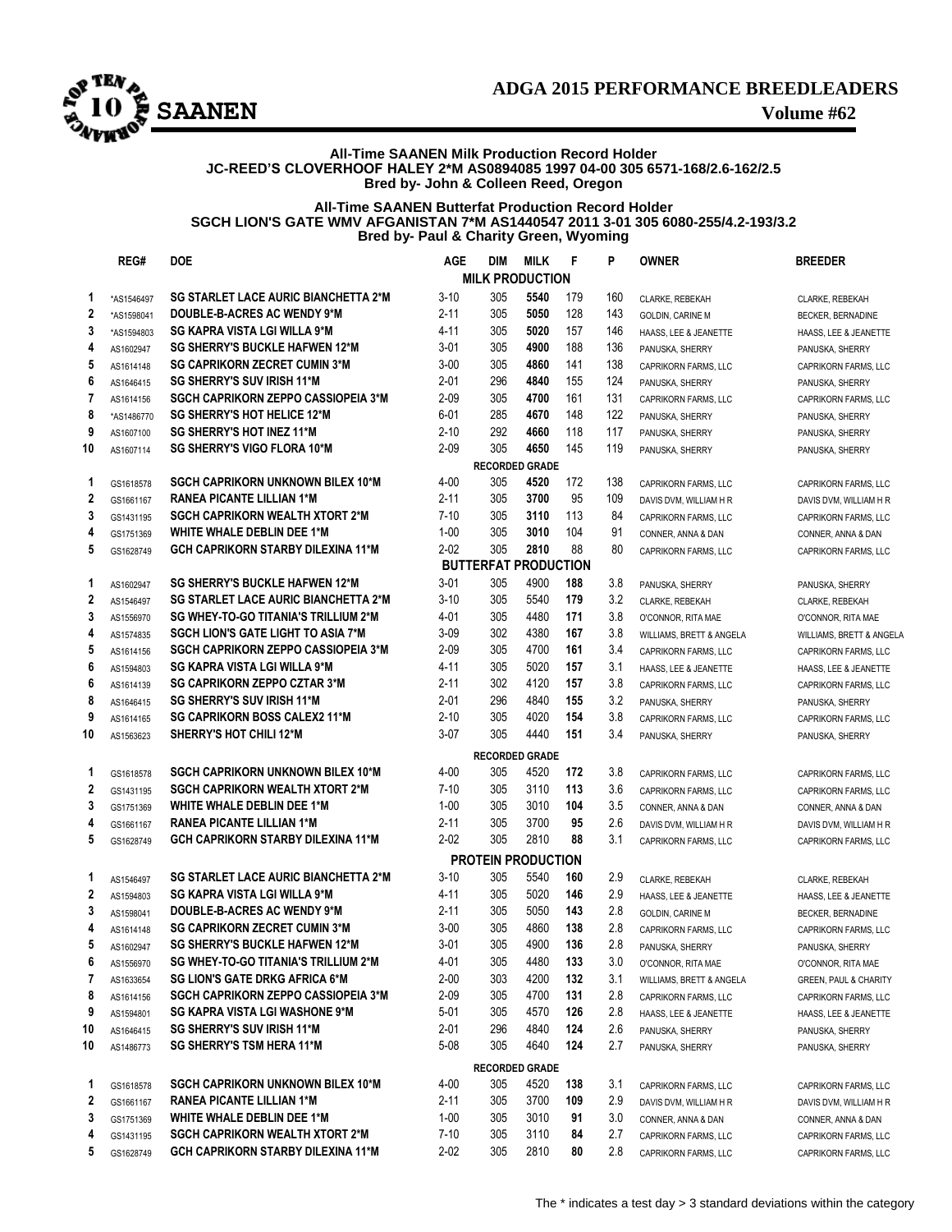

# **ADGA 2015 PERFORMANCE BREEDLEADERS**

## **All-Time SAANEN Milk Production Record Holder JC-REED'S CLOVERHOOF HALEY 2\*M AS0894085 1997 04-00 305 6571-168/2.6-162/2.5 Bred by- John & Colleen Reed, Oregon**

# **All-Time SAANEN Butterfat Production Record Holder SGCH LION'S GATE WMV AFGANISTAN 7\*M AS1440547 2011 3-01 305 6080-255/4.2-193/3.2 Bred by- Paul & Charity Green, Wyoming**

|                | REG#                     | <b>DOE</b>                                  | <b>AGE</b> | DIM                                | MILK | -F  | P   | <b>OWNER</b>                                 | <b>BREEDER</b>                   |
|----------------|--------------------------|---------------------------------------------|------------|------------------------------------|------|-----|-----|----------------------------------------------|----------------------------------|
|                |                          |                                             |            | <b>MILK PRODUCTION</b>             |      |     |     |                                              |                                  |
|                | *AS1546497               | <b>SG STARLET LACE AURIC BIANCHETTA 2*M</b> | $3 - 10$   | 305                                | 5540 | 179 | 160 | CLARKE, REBEKAH                              | CLARKE, REBEKAH                  |
| $\mathbf{2}$   | *AS1598041               | <b>DOUBLE-B-ACRES AC WENDY 9*M</b>          | $2 - 11$   | 305                                | 5050 | 128 | 143 | <b>GOLDIN, CARINE M</b>                      | <b>BECKER, BERNADINE</b>         |
| 3              | *AS1594803               | <b>SG KAPRA VISTA LGI WILLA 9*M</b>         | 4-11       | 305                                | 5020 | 157 | 146 | HAASS, LEE & JEANETTE                        | HAASS. LEE & JEANETTE            |
|                | AS160294                 | <b>SG SHERRY'S BUCKLE HAFWEN 12*M</b>       | $3-01$     | 305                                | 4900 | 188 | 136 | PANUSKA, SHERRY                              | PANUSKA, SHERRY                  |
| 5              | AS1614148                | <b>SG CAPRIKORN ZECRET CUMIN 3*M</b>        | $3 - 00$   | 305                                | 4860 | 141 | 138 | CAPRIKORN FARMS, LLC                         | <b>CAPRIKORN FARMS, LLC</b>      |
| 6              | AS1646415                | <b>SG SHERRY'S SUV IRISH 11*M</b>           | $2 - 01$   | 296                                | 4840 | 155 | 124 | PANUSKA, SHERRY                              | PANUSKA, SHERRY                  |
| 7              | AS1614156                | <b>SGCH CAPRIKORN ZEPPO CASSIOPEIA 3*M</b>  | $2 - 09$   | 305                                | 4700 | 161 | 131 | CAPRIKORN FARMS, LLC                         | CAPRIKORN FARMS, LLC             |
| 8              | *AS1486770               | <b>SG SHERRY'S HOT HELICE 12*M</b>          | $6 - 01$   | 285                                | 4670 | 148 | 122 | PANUSKA, SHERRY                              | PANUSKA, SHERRY                  |
| 9              | AS1607100                | <b>SG SHERRY'S HOT INEZ 11*M</b>            | $2 - 10$   | 292                                | 4660 | 118 | 117 | PANUSKA, SHERRY                              |                                  |
| 10             |                          | <b>SG SHERRY'S VIGO FLORA 10*M</b>          | $2 - 09$   | 305                                | 4650 | 145 | 119 | PANUSKA, SHERRY                              | PANUSKA, SHERRY                  |
|                | AS16071                  |                                             |            | <b>RECORDED GRADE</b>              |      |     |     |                                              | PANUSKA, SHERRY                  |
| $\overline{1}$ |                          | <b>SGCH CAPRIKORN UNKNOWN BILEX 10*M</b>    | 4-00       | 305                                | 4520 | 172 | 138 |                                              |                                  |
|                | GS1618578                | <b>RANEA PICANTE LILLIAN 1*M</b>            | $2 - 11$   | 305                                | 3700 | 95  | 109 | CAPRIKORN FARMS, LLC                         | CAPRIKORN FARMS, LLC             |
| $\mathbf{2}$   | GS1661167                | <b>SGCH CAPRIKORN WEALTH XTORT 2*M</b>      |            | 305                                |      | 113 | 84  | DAVIS DVM, WILLIAM H R                       | DAVIS DVM, WILLIAM H R           |
| 3              | GS1431195                |                                             | 7-10       |                                    | 3110 |     |     | CAPRIKORN FARMS, LLC                         | CAPRIKORN FARMS, LLC             |
| 4              | GS1751369                | WHITE WHALE DEBLIN DEE 1*M                  | $1 - 00$   | 305                                | 3010 | 104 | 91  | CONNER, ANNA & DAN                           | CONNER, ANNA & DAN               |
| 5              | GS1628749                | <b>GCH CAPRIKORN STARBY DILEXINA 11*M</b>   | $2 - 02$   | 305<br><b>BUTTERFAT PRODUCTION</b> | 2810 | 88  | 80  | CAPRIKORN FARMS, LLC                         | CAPRIKORN FARMS, LLC             |
|                |                          |                                             |            |                                    |      |     |     |                                              |                                  |
| 1              | AS1602947                | <b>SG SHERRY'S BUCKLE HAFWEN 12*M</b>       | $3 - 01$   | 305                                | 4900 | 188 | 3.8 | PANUSKA, SHERRY                              | PANUSKA, SHERRY                  |
| $\mathbf{2}$   | AS1546497                | <b>SG STARLET LACE AURIC BIANCHETTA 2*M</b> | $3 - 10$   | 305                                | 5540 | 179 | 3.2 | <b>CLARKE, REBEKAH</b>                       | CLARKE, REBEKAH                  |
| 3              | AS1556970                | <b>SG WHEY-TO-GO TITANIA'S TRILLIUM 2*M</b> | 4-01       | 305                                | 4480 | 171 | 3.8 | O'CONNOR, RITA MAE                           | O'CONNOR, RITA MAE               |
|                | AS1574835                | <b>SGCH LION'S GATE LIGHT TO ASIA 7*M</b>   | $3-09$     | 302                                | 4380 | 167 | 3.8 | WILLIAMS, BRETT & ANGELA                     | WILLIAMS, BRETT & ANGELA         |
| 5              | AS1614156                | <b>SGCH CAPRIKORN ZEPPO CASSIOPEIA 3*M</b>  | $2 - 09$   | 305                                | 4700 | 161 | 3.4 | <b>CAPRIKORN FARMS, LLC</b>                  | <b>CAPRIKORN FARMS, LLC</b>      |
| 6              | AS1594803                | <b>SG KAPRA VISTA LGI WILLA 9*M</b>         | $4 - 11$   | 305                                | 5020 | 157 | 3.1 | HAASS. LEE & JEANETTE                        | HAASS, LEE & JEANETTE            |
| 6.             | AS1614139                | <b>SG CAPRIKORN ZEPPO CZTAR 3*M</b>         | $2 - 11$   | 302                                | 4120 | 157 | 3.8 | CAPRIKORN FARMS, LLC                         | CAPRIKORN FARMS, LLC             |
| 8              | AS1646415                | <b>SG SHERRY'S SUV IRISH 11*M</b>           | $2 - 01$   | 296                                | 4840 | 155 | 3.2 | PANUSKA, SHERRY                              | PANUSKA, SHERRY                  |
| 9              | AS1614165                | <b>SG CAPRIKORN BOSS CALEX2 11*M</b>        | $2 - 10$   | 305                                | 4020 | 154 | 3.8 | CAPRIKORN FARMS, LLC                         | CAPRIKORN FARMS, LLC             |
| 10             | AS1563623                | <b>SHERRY'S HOT CHILI 12*M</b>              | $3-07$     | 305                                | 4440 | 151 | 3.4 | PANUSKA, SHERRY                              | PANUSKA, SHERRY                  |
|                |                          |                                             |            | <b>RECORDED GRADE</b>              |      |     |     |                                              |                                  |
| 1              | GS1618578                | <b>SGCH CAPRIKORN UNKNOWN BILEX 10*M</b>    | 4-00       | 305                                | 4520 | 172 | 3.8 | CAPRIKORN FARMS, LLC                         | CAPRIKORN FARMS, LLC             |
| $\mathbf{2}$   | GS1431195                | <b>SGCH CAPRIKORN WEALTH XTORT 2*M</b>      | $7 - 10$   | 305                                | 3110 | 113 | 3.6 | CAPRIKORN FARMS, LLC                         | CAPRIKORN FARMS, LLC             |
| 3              | GS1751369                | WHITE WHALE DEBLIN DEE 1*M                  | $1 - 00$   | 305                                | 3010 | 104 | 3.5 | CONNER, ANNA & DAN                           | CONNER, ANNA & DAN               |
| 4              | GS1661167                | <b>RANEA PICANTE LILLIAN 1*M</b>            | $2 - 11$   | 305                                | 3700 | 95  | 2.6 | DAVIS DVM, WILLIAM H R                       | DAVIS DVM, WILLIAM H R           |
| 5              | GS1628749                | <b>GCH CAPRIKORN STARBY DILEXINA 11*M</b>   | $2 - 02$   | 305                                | 2810 | 88  | 3.1 | <b>CAPRIKORN FARMS, LLC</b>                  | CAPRIKORN FARMS, LLC             |
|                |                          |                                             |            |                                    |      |     |     |                                              |                                  |
|                |                          |                                             |            | <b>PROTEIN PRODUCTION</b>          |      |     |     |                                              |                                  |
| 1              | AS1546497                | <b>SG STARLET LACE AURIC BIANCHETTA 2*M</b> | $3-10$     | 305                                | 5540 | 160 | 2.9 | CLARKE, REBEKAH                              | <b>CLARKE, REBEKAH</b>           |
| $\mathbf{2}$   | AS1594803                | SG KAPRA VISTA LGI WILLA 9*M                | 4-11       | 305                                | 5020 | 146 | 2.9 | HAASS, LEE & JEANETTE                        | HAASS. LEE & JEANETTE            |
| 3              | AS1598041                | <b>DOUBLE-B-ACRES AC WENDY 9*M</b>          | $2 - 11$   | 305                                | 5050 | 143 | 2.8 | <b>GOLDIN, CARINE M</b>                      | <b>BECKER, BERNADINE</b>         |
| 4              | AS1614148                | <b>SG CAPRIKORN ZECRET CUMIN 3*M</b>        | $3 - 00$   | 305                                | 4860 | 138 | 2.8 | CAPRIKORN FARMS, LLC                         | <b>CAPRIKORN FARMS, LLC</b>      |
| 5.             | AS1602947                | <b>SG SHERRY'S BUCKLE HAFWEN 12*M</b>       | $3-01$     | 305                                | 4900 | 136 | 2.8 | PANUSKA, SHERRY                              | PANUSKA, SHERRY                  |
| 6              | AS1556970                | SG WHEY-TO-GO TITANIA'S TRILLIUM 2*M        | 4-01       | 305                                | 4480 | 133 | 3.0 | O'CONNOR, RITA MAE                           | O'CONNOR, RITA MAE               |
| $\mathbf{7}$   | AS1633654                | <b>SG LION'S GATE DRKG AFRICA 6*M</b>       | $2 - 00$   | 303                                | 4200 | 132 | 3.1 | WILLIAMS, BRETT & ANGELA                     | <b>GREEN, PAUL &amp; CHARITY</b> |
| 8              | AS1614156                | <b>SGCH CAPRIKORN ZEPPO CASSIOPEIA 3*M</b>  | $2 - 09$   | 305                                | 4700 | 131 | 2.8 | CAPRIKORN FARMS, LLC                         | CAPRIKORN FARMS, LLC             |
|                | 9 AS1594801              | <b>SG KAPRA VISTA LGI WASHONE 9*M</b>       | $5-01$     | 305                                | 4570 | 126 | 2.8 | HAASS, LEE & JEANETTE                        | HAASS, LEE & JEANETTE            |
| 10             | AS1646415                | <b>SG SHERRY'S SUV IRISH 11*M</b>           | $2 - 01$   | 296                                | 4840 | 124 | 2.6 | PANUSKA, SHERRY                              | PANUSKA, SHERRY                  |
| 10             | AS1486773                | <b>SG SHERRY'S TSM HERA 11*M</b>            | $5 - 08$   | 305                                | 4640 | 124 | 2.7 | PANUSKA, SHERRY                              | PANUSKA, SHERRY                  |
|                |                          |                                             |            | <b>RECORDED GRADE</b>              |      |     |     |                                              |                                  |
| 1              | GS1618578                | <b>SGCH CAPRIKORN UNKNOWN BILEX 10*M</b>    | 4-00       | 305                                | 4520 | 138 | 3.1 | CAPRIKORN FARMS, LLC                         | CAPRIKORN FARMS, LLC             |
| $\mathbf{2}$   | GS1661167                | RANEA PICANTE LILLIAN 1*M                   | $2 - 11$   | 305                                | 3700 | 109 | 2.9 | DAVIS DVM, WILLIAM H R                       | DAVIS DVM, WILLIAM H R           |
| 3              | GS1751369                | <b>WHITE WHALE DEBLIN DEE 1*M</b>           | $1-00$     | 305                                | 3010 | 91  | 3.0 | CONNER, ANNA & DAN                           | CONNER, ANNA & DAN               |
| 4              |                          | <b>SGCH CAPRIKORN WEALTH XTORT 2*M</b>      | 7-10       | 305                                | 3110 | 84  | 2.7 |                                              |                                  |
|                | GS1431195<br>5 GS1628749 | <b>GCH CAPRIKORN STARBY DILEXINA 11*M</b>   | $2 - 02$   | 305                                | 2810 | 80  | 2.8 | CAPRIKORN FARMS, LLC<br>CAPRIKORN FARMS, LLC | CAPRIKORN FARMS, LLC             |
|                |                          |                                             |            |                                    |      |     |     |                                              | CAPRIKORN FARMS, LLC             |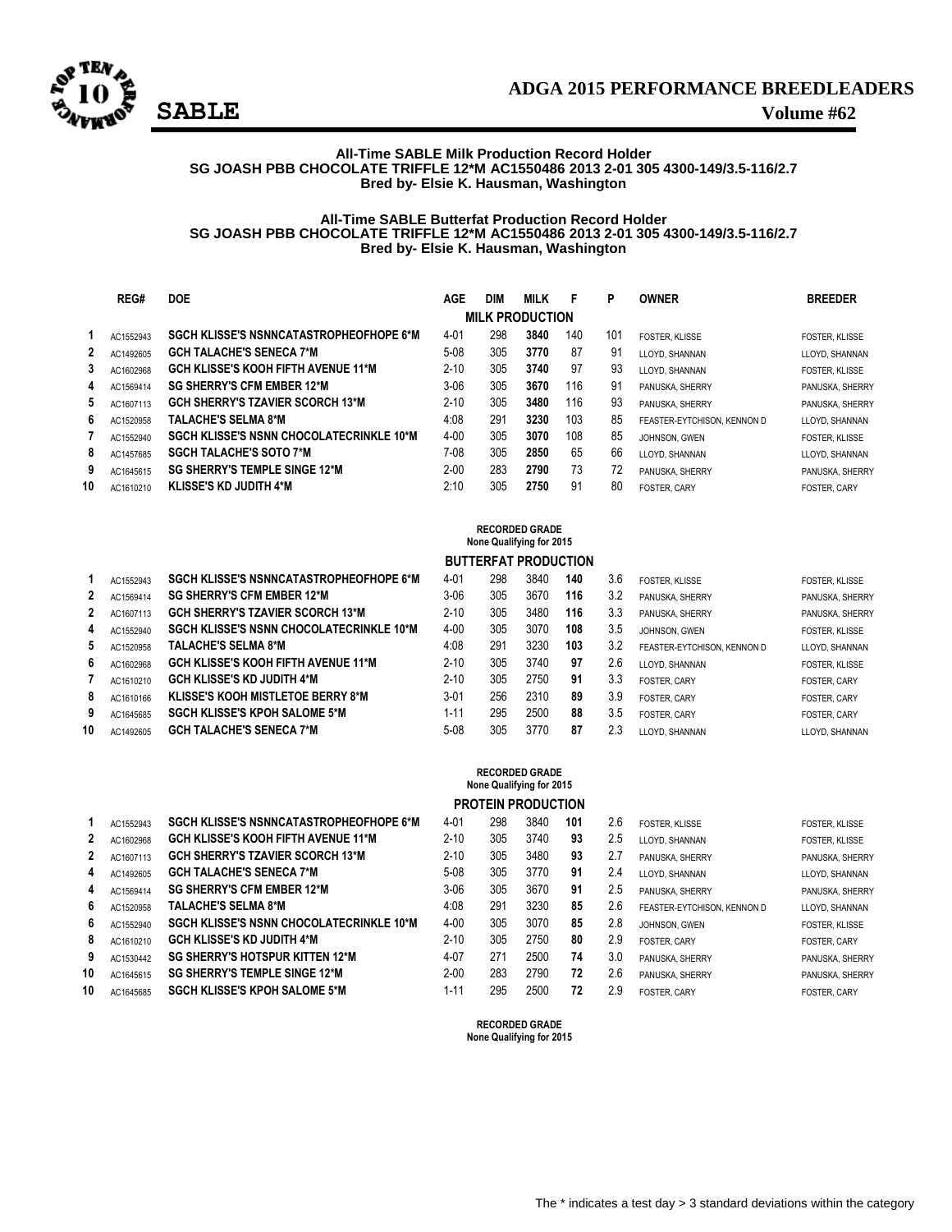

## **All-Time SABLE Milk Production Record Holder SG JOASH PBB CHOCOLATE TRIFFLE 12\*M AC1550486 2013 2-01 305 4300-149/3.5-116/2.7 Bred by- Elsie K. Hausman, Washington**

# **All-Time SABLE Butterfat Production Record Holder SG JOASH PBB CHOCOLATE TRIFFLE 12\*M AC1550486 2013 2-01 305 4300-149/3.5-116/2.7 Bred by- Elsie K. Hausman, Washington**

|    | REG#      | <b>DOE</b>                                      | AGE      | DIM | <b>MILK</b>            | F   | P   | <b>OWNER</b>                | <b>BREEDER</b>      |
|----|-----------|-------------------------------------------------|----------|-----|------------------------|-----|-----|-----------------------------|---------------------|
|    |           |                                                 |          |     |                        |     |     |                             |                     |
|    |           |                                                 |          |     | <b>MILK PRODUCTION</b> |     |     |                             |                     |
|    | AC1552943 | <b>SGCH KLISSE'S NSNNCATASTROPHEOFHOPE 6*M</b>  | $4 - 01$ | 298 | 3840                   | 140 | 101 | FOSTER. KLISSE              | FOSTER, KLISSE      |
| 2  | AC1492605 | <b>GCH TALACHE'S SENECA 7*M</b>                 | $5-08$   | 305 | 3770                   | 87  | 91  | LLOYD, SHANNAN              | LLOYD, SHANNAN      |
| 3  | AC1602968 | <b>GCH KLISSE'S KOOH FIFTH AVENUE 11*M</b>      | $2 - 10$ | 305 | 3740                   | 97  | 93  | LLOYD, SHANNAN              | FOSTER, KLISSE      |
| 4  | AC1569414 | <b>SG SHERRY'S CFM EMBER 12*M</b>               | 3-06     | 305 | 3670                   | 116 | 91  | PANUSKA, SHERRY             | PANUSKA, SHERRY     |
| 5  | AC1607113 | <b>GCH SHERRY'S TZAVIER SCORCH 13*M</b>         | $2 - 10$ | 305 | 3480                   | 116 | 93  | PANUSKA, SHERRY             | PANUSKA, SHERRY     |
| 6  | AC1520958 | <b>TALACHE'S SELMA 8*M</b>                      | 4:08     | 291 | 3230                   | 103 | 85  | FEASTER-EYTCHISON. KENNON D | LLOYD, SHANNAN      |
|    | AC1552940 | <b>SGCH KLISSE'S NSNN CHOCOLATECRINKLE 10*M</b> | $4 - 00$ | 305 | 3070                   | 108 | 85  | JOHNSON, GWEN               | FOSTER, KLISSE      |
| 8  | AC1457685 | <b>SGCH TALACHE'S SOTO 7*M</b>                  | 7-08     | 305 | 2850                   | 65  | 66  | LLOYD, SHANNAN              | LLOYD, SHANNAN      |
| 9  | AC1645615 | <b>SG SHERRY'S TEMPLE SINGE 12*M</b>            | $2 - 00$ | 283 | 2790                   | 73  | 72  | PANUSKA, SHERRY             | PANUSKA, SHERRY     |
| 10 | AC1610210 | <b>KLISSE'S KD JUDITH 4*M</b>                   | 2:10     | 305 | 2750                   | 91  | 80  | <b>FOSTER, CARY</b>         | <b>FOSTER, CARY</b> |
|    |           |                                                 |          |     |                        |     |     |                             |                     |

| <b>BUTTERFAT PRODUCTION</b><br>3.6<br>3840<br>298<br><b>SGCH KLISSE'S NSNNCATASTROPHEOFHOPE 6*M</b><br>$4 - 01$<br>140<br>FOSTER. KLISSE<br>AC1552943<br>305<br>3670<br>3.2<br>$3-06$<br>116<br>$\mathbf{2}$<br><b>SG SHERRY'S CFM EMBER 12*M</b><br>AC1569414<br>PANUSKA, SHERRY<br>305<br>$2 - 10$<br>3480<br>116<br>3.3<br>2<br><b>GCH SHERRY'S TZAVIER SCORCH 13*M</b><br>AC1607113<br>PANUSKA, SHERRY<br>305<br>3070<br>3.5<br>$4 - 00$<br>108<br><b>SGCH KLISSE'S NSNN CHOCOLATECRINKLE 10*M</b><br>4<br>AC1552940<br>JOHNSON, GWEN |                       |
|-------------------------------------------------------------------------------------------------------------------------------------------------------------------------------------------------------------------------------------------------------------------------------------------------------------------------------------------------------------------------------------------------------------------------------------------------------------------------------------------------------------------------------------------|-----------------------|
|                                                                                                                                                                                                                                                                                                                                                                                                                                                                                                                                           |                       |
|                                                                                                                                                                                                                                                                                                                                                                                                                                                                                                                                           | <b>FOSTER, KLISSE</b> |
|                                                                                                                                                                                                                                                                                                                                                                                                                                                                                                                                           | PANUSKA, SHERRY       |
|                                                                                                                                                                                                                                                                                                                                                                                                                                                                                                                                           | PANUSKA, SHERRY       |
|                                                                                                                                                                                                                                                                                                                                                                                                                                                                                                                                           | FOSTER, KLISSE        |
| 291<br>3230<br>3.2<br>4:08<br>103<br><b>TALACHE'S SELMA 8*M</b><br>5<br>AC1520958<br>FEASTER-EYTCHISON, KENNON D                                                                                                                                                                                                                                                                                                                                                                                                                          | LLOYD, SHANNAN        |
| 305<br>2.6<br>$2 - 10$<br>3740<br>97<br><b>GCH KLISSE'S KOOH FIFTH AVENUE 11*M</b><br>6<br>AC1602968<br>LLOYD, SHANNAN                                                                                                                                                                                                                                                                                                                                                                                                                    | <b>FOSTER, KLISSE</b> |
| 305<br>2750<br>3.3<br>$2 - 10$<br>91<br><b>GCH KLISSE'S KD JUDITH 4*M</b><br>FOSTER, CARY<br>AC1610210                                                                                                                                                                                                                                                                                                                                                                                                                                    | FOSTER, CARY          |
| $3 - 01$<br>256<br>2310<br>3.9<br>89<br>8<br><b>KLISSE'S KOOH MISTLETOE BERRY 8*M</b><br>AC1610166<br>FOSTER, CARY                                                                                                                                                                                                                                                                                                                                                                                                                        | FOSTER, CARY          |
| 295<br>$1 - 11$<br>2500<br>3.5<br>88<br>9<br><b>SGCH KLISSE'S KPOH SALOME 5*M</b><br>AC1645685<br>FOSTER, CARY                                                                                                                                                                                                                                                                                                                                                                                                                            | FOSTER, CARY          |
| 305<br>3770<br>87<br>2.3<br>$5 - 08$<br>10<br><b>GCH TALACHE'S SENECA 7*M</b><br>AC1492605<br>LLOYD, SHANNAN                                                                                                                                                                                                                                                                                                                                                                                                                              | LLOYD, SHANNAN        |

|    |           |                                                 |          |     | <b>RECORDED GRADE</b><br>None Qualifying for 2015 |     |     |                             |                       |
|----|-----------|-------------------------------------------------|----------|-----|---------------------------------------------------|-----|-----|-----------------------------|-----------------------|
|    |           |                                                 |          |     | <b>PROTEIN PRODUCTION</b>                         |     |     |                             |                       |
|    | AC1552943 | <b>SGCH KLISSE'S NSNNCATASTROPHEOFHOPE 6*M</b>  | $4 - 01$ | 298 | 3840                                              | 101 | 2.6 | FOSTER, KLISSE              | <b>FOSTER, KLISSE</b> |
| 2  | AC1602968 | <b>GCH KLISSE'S KOOH FIFTH AVENUE 11*M</b>      | $2 - 10$ | 305 | 3740                                              | 93  | 2.5 | LLOYD, SHANNAN              | FOSTER, KLISSE        |
| 2  | AC1607113 | <b>GCH SHERRY'S TZAVIER SCORCH 13*M</b>         | $2 - 10$ | 305 | 3480                                              | 93  | 2.7 | PANUSKA, SHERRY             | PANUSKA, SHERRY       |
| 4  | AC1492605 | <b>GCH TALACHE'S SENECA 7*M</b>                 | $5-08$   | 305 | 3770                                              | 91  | 2.4 | LLOYD, SHANNAN              | LLOYD, SHANNAN        |
| 4  | AC1569414 | <b>SG SHERRY'S CFM EMBER 12*M</b>               | $3-06$   | 305 | 3670                                              | 91  | 2.5 | PANUSKA, SHERRY             | PANUSKA, SHERRY       |
| 6  | AC1520958 | TALACHE'S SELMA 8*M                             | 4:08     | 291 | 3230                                              | 85  | 2.6 | FEASTER-EYTCHISON. KENNON D | LLOYD, SHANNAN        |
| 6  | AC1552940 | <b>SGCH KLISSE'S NSNN CHOCOLATECRINKLE 10*M</b> | $4 - 00$ | 305 | 3070                                              | 85  | 2.8 | JOHNSON, GWEN               | FOSTER, KLISSE        |
| 8  | AC1610210 | <b>GCH KLISSE'S KD JUDITH 4*M</b>               | $2 - 10$ | 305 | 2750                                              | 80  | 2.9 | FOSTER, CARY                | <b>FOSTER, CARY</b>   |
| 9  | AC1530442 | <b>SG SHERRY'S HOTSPUR KITTEN 12*M</b>          | $4 - 07$ | 271 | 2500                                              | 74  | 3.0 | PANUSKA, SHERRY             | PANUSKA, SHERRY       |
| 10 | AC1645615 | <b>SG SHERRY'S TEMPLE SINGE 12*M</b>            | $2 - 00$ | 283 | 2790                                              | 72  | 2.6 | PANUSKA, SHERRY             | PANUSKA, SHERRY       |
| 10 | AC1645685 | <b>SGCH KLISSE'S KPOH SALOME 5*M</b>            | $1 - 11$ | 295 | 2500                                              | 72  | 2.9 | <b>FOSTER, CARY</b>         | <b>FOSTER, CARY</b>   |

**RECORDED GRADE None Qualifying for 2015**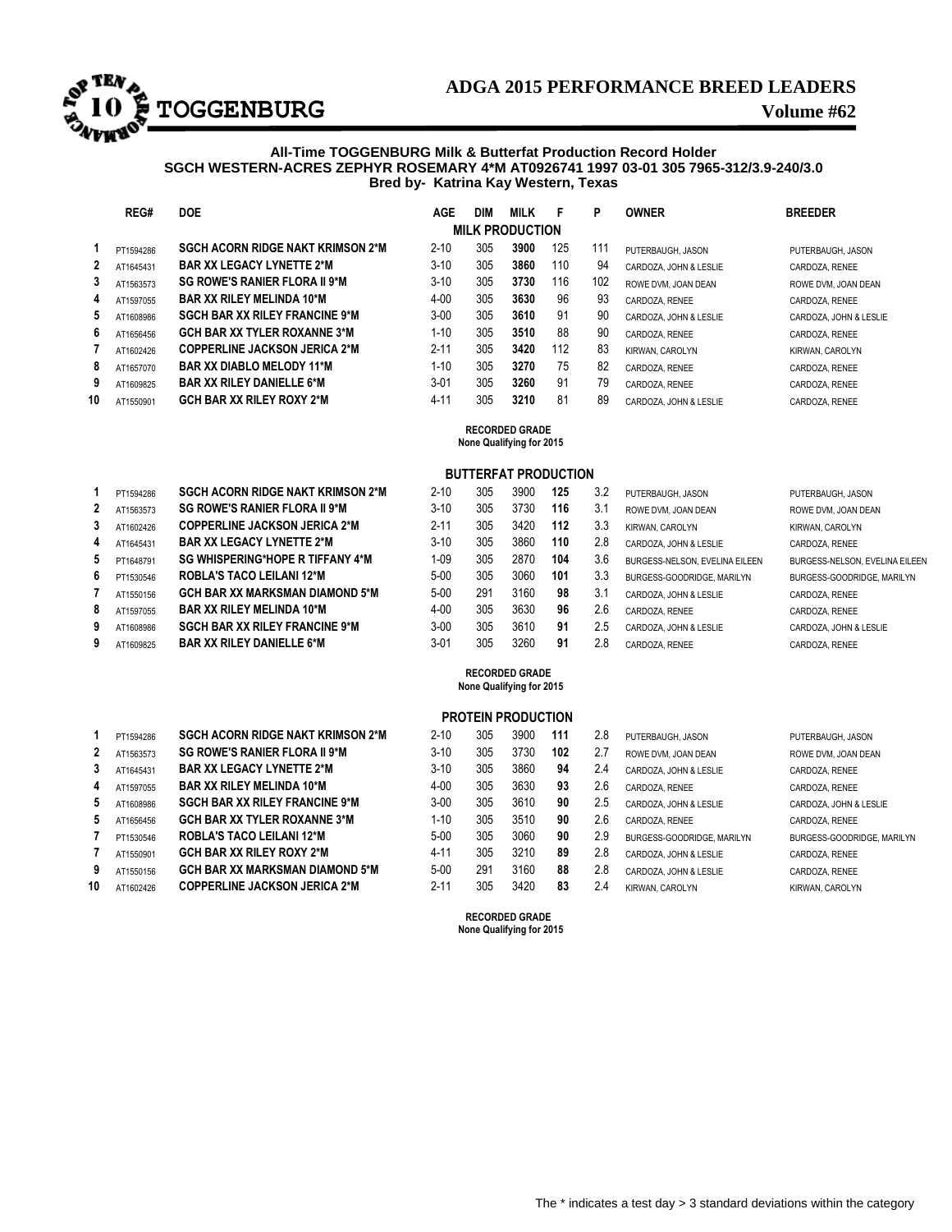

# **ADGA 2015 PERFORMANCE BREED LEADERS ADGA 2015 PERFORMANCE BREED LEADERS**<br>**10 Property Burgest 2015 PERFORMANCE BREED LEADERS**

## **All-Time TOGGENBURG Milk & Butterfat Production Record Holder SGCH WESTERN-ACRES ZEPHYR ROSEMARY 4\*M AT0926741 1997 03-01 305 7965-312/3.9-240/3.0 Bred by- Katrina Kay Western, Texas**

|    | REG#                                              | <b>DOE</b>                            | AGE      | <b>DIM</b> | <b>MILK</b>            | F   | P   | <b>OWNER</b>           | <b>BREEDER</b>         |  |  |
|----|---------------------------------------------------|---------------------------------------|----------|------------|------------------------|-----|-----|------------------------|------------------------|--|--|
|    |                                                   |                                       |          |            | <b>MILK PRODUCTION</b> |     |     |                        |                        |  |  |
| 1  | PT1594286                                         | SGCH ACORN RIDGE NAKT KRIMSON 2*M     | $2 - 10$ | 305        | 3900                   | 125 | 111 | PUTERBAUGH, JASON      | PUTERBAUGH, JASON      |  |  |
| 2  | AT1645431                                         | <b>BAR XX LEGACY LYNETTE 2*M</b>      | $3 - 10$ | 305        | 3860                   | 110 | 94  | CARDOZA. JOHN & LESLIE | CARDOZA, RENEE         |  |  |
| 3  | AT1563573                                         | <b>SG ROWE'S RANIER FLORA II 9*M</b>  | $3 - 10$ | 305        | 3730                   | 116 | 102 | ROWE DVM. JOAN DEAN    | ROWE DVM, JOAN DEAN    |  |  |
| 4  | AT1597055                                         | <b>BAR XX RILEY MELINDA 10*M</b>      | $4 - 00$ | 305        | 3630                   | 96  | 93  | CARDOZA, RENEE         | CARDOZA, RENEE         |  |  |
| 5  | AT1608986                                         | <b>SGCH BAR XX RILEY FRANCINE 9*M</b> | $3 - 00$ | 305        | 3610                   | 91  | 90  | CARDOZA. JOHN & LESLIE | CARDOZA, JOHN & LESLIE |  |  |
| 6  | AT1656456                                         | <b>GCH BAR XX TYLER ROXANNE 3*M</b>   | $1 - 10$ | 305        | 3510                   | 88  | 90  | CARDOZA, RENEE         | CARDOZA, RENEE         |  |  |
| 7  | AT1602426                                         | <b>COPPERLINE JACKSON JERICA 2*M</b>  | $2 - 11$ | 305        | 3420                   | 112 | 83  | KIRWAN, CAROLYN        | KIRWAN, CAROLYN        |  |  |
| 8  | AT1657070                                         | <b>BAR XX DIABLO MELODY 11*M</b>      | $1 - 10$ | 305        | 3270                   | 75  | 82  | CARDOZA, RENEE         | CARDOZA, RENEE         |  |  |
| 9  | AT1609825                                         | <b>BAR XX RILEY DANIELLE 6*M</b>      | $3 - 01$ | 305        | 3260                   | 91  | 79  | CARDOZA, RENEE         | CARDOZA, RENEE         |  |  |
| 10 | AT1550901                                         | <b>GCH BAR XX RILEY ROXY 2*M</b>      | $4 - 11$ | 305        | 3210                   | 81  | 89  | CARDOZA. JOHN & LESLIE | CARDOZA, RENEE         |  |  |
|    | <b>RECORDED GRADE</b><br>None Qualifying for 2015 |                                       |          |            |                        |     |     |                        |                        |  |  |
|    | <b>BUTTERFAT PRODUCTION</b>                       |                                       |          |            |                        |     |     |                        |                        |  |  |

| 1            | PT1594286 | <b>SGCH ACORN RIDGE NAKT KRIMSON 2*M</b> |
|--------------|-----------|------------------------------------------|
| $\mathbf{2}$ | AT1563573 | <b>SG ROWE'S RANIER FLORA II 9*M</b>     |
| 3            | AT1602426 | <b>COPPERLINE JACKSON JERICA 2*M</b>     |
| 4            | AT1645431 | <b>BAR XX LEGACY LYNETTE 2*M</b>         |
| 5            | PT1648791 | <b>SG WHISPERING*HOPE R TIFFANY 4*M</b>  |
| 6            | PT1530546 | ROBLA'S TACO LEILANI 12*M                |
| 7            | AT1550156 | <b>GCH BAR XX MARKSMAN DIAMOND 5*M</b>   |
| 8            | AT1597055 | <b>BAR XX RILEY MELINDA 10*M</b>         |
| 9            | AT1608986 | <b>SGCH BAR XX RILEY FRANCINE 9*M</b>    |
| 9            | AT1609825 | <b>BAR XX RILEY DANIELLE 6*M</b>         |

| AT1563573 | <b>SG ROWE'S RANIER FLORA II 9*M</b>    |
|-----------|-----------------------------------------|
| AT1602426 | <b>COPPERLINE JACKSON JERICA 2*M</b>    |
| AT1645431 | <b>BAR XX LEGACY LYNETTE 2*M</b>        |
| PT1648791 | <b>SG WHISPERING*HOPE R TIFFANY 4*M</b> |
| PT1530546 | <b>ROBLA'S TACO LEILANI 12*M</b>        |
| AT1550156 | GCH BAR XX MARKSMAN DIAMOND 5*M         |
| AT1597055 | <b>BAR XX RILEY MELINDA 10*M</b>        |
| AT1608986 | <b>SGCH BAR XX RILEY FRANCINE 9*M</b>   |
| AT1609825 | <b>BAR XX RILEY DANIELLE 6*M</b>        |
|           |                                         |

| 1 | PT1594286 | <b>SGCH ACORN RIDGE NAKT KRIMSON 2*M</b> |
|---|-----------|------------------------------------------|
| 2 | AT1563573 | <b>SG ROWE'S RANIER FLORA II 9*M</b>     |
| 3 | AT1645431 | <b>BAR XX LEGACY LYNETTE 2*M</b>         |
| 4 | AT1597055 | BAR XX RILEY MELINDA 10*M                |
| 5 | AT1608986 | <b>SGCH BAR XX RILEY FRANCINE 9*M</b>    |
| 5 | AT1656456 | <b>GCH BAR XX TYLER ROXANNE 3*M</b>      |
| 7 | PT1530546 | ROBLA'S TACO LEILANI 12*M                |
| 7 | AT1550901 | <b>GCH BAR XX RILEY ROXY 2*M</b>         |
| 9 | AT1550156 | GCH BAR XX MARKSMAN DIAMOND 5*M          |

| PT1594286 | SGCH ACORN RIDGE NAKT KRIMSON 2*M      | $2 - 10$ | 305 | 3900 | 125 | 3.2 | PUTERBAUGH, JASON              | PUTERBAUGH, JASON              |
|-----------|----------------------------------------|----------|-----|------|-----|-----|--------------------------------|--------------------------------|
| AT1563573 | <b>SG ROWE'S RANIER FLORA II 9*M</b>   | $3 - 10$ | 305 | 3730 | 116 | 3.1 | ROWE DVM. JOAN DEAN            | ROWE DVM. JOAN DEAN            |
| AT1602426 | <b>COPPERLINE JACKSON JERICA 2*M</b>   | $2 - 11$ | 305 | 3420 | 112 | 3.3 | KIRWAN, CAROLYN                | KIRWAN, CAROLYN                |
| AT1645431 | <b>BAR XX LEGACY LYNETTE 2*M</b>       | $3 - 10$ | 305 | 3860 | 110 | 2.8 | CARDOZA, JOHN & LESLIE         | CARDOZA, RENEE                 |
| PT1648791 | SG WHISPERING*HOPE R TIFFANY 4*M       | 1-09     | 305 | 2870 | 104 | 3.6 | BURGESS-NELSON, EVELINA EILEEN | BURGESS-NELSON, EVELINA EILEEN |
| PT1530546 | ROBLA'S TACO LEILANI 12*M              | $5 - 00$ | 305 | 3060 | 101 | 3.3 | BURGESS-GOODRIDGE, MARILYN     | BURGESS-GOODRIDGE, MARILYN     |
| AT1550156 | <b>GCH BAR XX MARKSMAN DIAMOND 5*M</b> | $5 - 00$ | 291 | 3160 | 98  | 3.1 | CARDOZA, JOHN & LESLIE         | CARDOZA, RENEE                 |
| AT1597055 | <b>BAR XX RILEY MELINDA 10*M</b>       | $4 - 00$ | 305 | 3630 | 96  | 2.6 | CARDOZA, RENEE                 | CARDOZA, RENEE                 |
| AT1608986 | <b>SGCH BAR XX RILEY FRANCINE 9*M</b>  | $3 - 00$ | 305 | 3610 | 91  | 2.5 | CARDOZA, JOHN & LESLIE         | CARDOZA, JOHN & LESLIE         |
| AT1609825 | <b>BAR XX RILEY DANIELLE 6*M</b>       | $3 - 01$ | 305 | 3260 | 91  | 2.8 | CARDOZA, RENEE                 | CARDOZA, RENEE                 |
|           |                                        |          |     |      |     |     |                                |                                |

#### **RECORDED GRADE None Qualifying for 2015**

# **PROTEIN PRODUCTION**

| PT1594286 | <b>SGCH ACORN RIDGE NAKT KRIMSON 2*M</b> | $2 - 10$ | 305 | 3900 | 111 | 2.8 | PUTERBAUGH, JASON          | PUTERBAUGH, JASON          |
|-----------|------------------------------------------|----------|-----|------|-----|-----|----------------------------|----------------------------|
| AT1563573 | SG ROWE'S RANIER FLORA II 9*M            | $3 - 10$ | 305 | 3730 | 102 | 2.7 | ROWE DVM. JOAN DEAN        | ROWE DVM, JOAN DEAN        |
| AT1645431 | <b>BAR XX LEGACY LYNETTE 2*M</b>         | $3 - 10$ | 305 | 3860 | 94  | 2.4 | CARDOZA, JOHN & LESLIE     | CARDOZA, RENEE             |
| AT1597055 | <b>BAR XX RILEY MELINDA 10*M</b>         | $4 - 00$ | 305 | 3630 | 93  | 2.6 | CARDOZA, RENEE             | CARDOZA, RENEE             |
| AT1608986 | <b>SGCH BAR XX RILEY FRANCINE 9*M</b>    | $3 - 00$ | 305 | 3610 | 90  | 2.5 | CARDOZA, JOHN & LESLIE     | CARDOZA, JOHN & LESLIE     |
| AT1656456 | <b>GCH BAR XX TYLER ROXANNE 3*M</b>      | 1-10     | 305 | 3510 | 90  | 2.6 | CARDOZA, RENEE             | CARDOZA, RENEE             |
| PT1530546 | <b>ROBLA'S TACO LEILANI 12*M</b>         | $5 - 00$ | 305 | 3060 | 90  | 2.9 | BURGESS-GOODRIDGE, MARILYN | BURGESS-GOODRIDGE, MARILYN |
| AT1550901 | <b>GCH BAR XX RILEY ROXY 2*M</b>         | $4 - 11$ | 305 | 3210 | 89  | 2.8 | CARDOZA, JOHN & LESLIE     | CARDOZA, RENEE             |
| AT1550156 | <b>GCH BAR XX MARKSMAN DIAMOND 5*M</b>   | $5 - 00$ | 291 | 3160 | 88  | 2.8 | CARDOZA, JOHN & LESLIE     | CARDOZA, RENEE             |
| AT1602426 | <b>COPPERLINE JACKSON JERICA 2*M</b>     | $2 - 11$ | 305 | 3420 | 83  | 2.4 | KIRWAN, CAROLYN            | KIRWAN, CAROLYN            |

 **RECORDED GRADE None Qualifying for 2015**